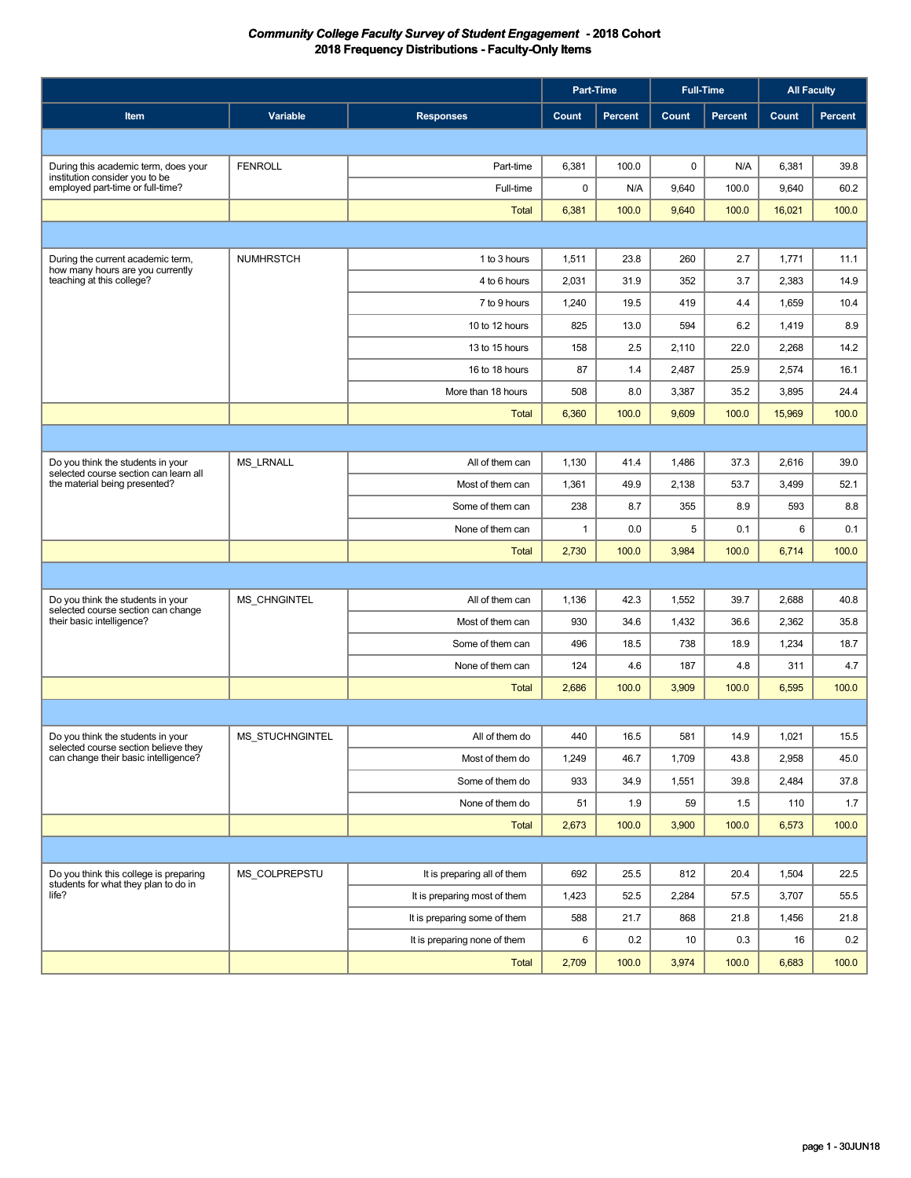|                                                                              |                        |                              | Part-Time |         | <b>Full-Time</b> |         |        | <b>All Faculty</b> |
|------------------------------------------------------------------------------|------------------------|------------------------------|-----------|---------|------------------|---------|--------|--------------------|
| Item                                                                         | Variable               | <b>Responses</b>             | Count     | Percent | Count            | Percent | Count  | Percent            |
|                                                                              |                        |                              |           |         |                  |         |        |                    |
| During this academic term, does your                                         | <b>FENROLL</b>         | Part-time                    | 6,381     | 100.0   | $\pmb{0}$        | N/A     | 6,381  | 39.8               |
| institution consider you to be<br>employed part-time or full-time?           |                        | Full-time                    | 0         | N/A     | 9,640            | 100.0   | 9,640  | 60.2               |
|                                                                              |                        | <b>Total</b>                 | 6,381     | 100.0   | 9,640            | 100.0   | 16,021 | 100.0              |
|                                                                              |                        |                              |           |         |                  |         |        |                    |
| During the current academic term,                                            | <b>NUMHRSTCH</b>       | 1 to 3 hours                 | 1,511     | 23.8    | 260              | 2.7     | 1,771  | 11.1               |
| how many hours are you currently<br>teaching at this college?                |                        | 4 to 6 hours                 | 2,031     | 31.9    | 352              | 3.7     | 2,383  | 14.9               |
|                                                                              |                        | 7 to 9 hours                 | 1,240     | 19.5    | 419              | 4.4     | 1,659  | 10.4               |
|                                                                              |                        | 10 to 12 hours               | 825       | 13.0    | 594              | 6.2     | 1,419  | 8.9                |
|                                                                              |                        | 13 to 15 hours               | 158       | 2.5     | 2,110            | 22.0    | 2,268  | 14.2               |
|                                                                              |                        | 16 to 18 hours               | 87        | 1.4     | 2,487            | 25.9    | 2,574  | 16.1               |
|                                                                              |                        | More than 18 hours           | 508       | 8.0     | 3,387            | 35.2    | 3,895  | 24.4               |
|                                                                              |                        | <b>Total</b>                 | 6,360     | 100.0   | 9,609            | 100.0   | 15,969 | 100.0              |
|                                                                              |                        |                              |           |         |                  |         |        |                    |
| Do you think the students in your                                            | <b>MS LRNALL</b>       | All of them can              | 1,130     | 41.4    | 1,486            | 37.3    | 2,616  | 39.0               |
| selected course section can learn all<br>the material being presented?       |                        | Most of them can             | 1,361     | 49.9    | 2,138            | 53.7    | 3,499  | 52.1               |
|                                                                              |                        | Some of them can             | 238       | 8.7     | 355              | 8.9     | 593    | 8.8                |
|                                                                              |                        | None of them can             | 1         | 0.0     | 5                | 0.1     | 6      | 0.1                |
|                                                                              |                        | <b>Total</b>                 | 2,730     | 100.0   | 3,984            | 100.0   | 6,714  | 100.0              |
|                                                                              |                        |                              |           |         |                  |         |        |                    |
| Do you think the students in your                                            | MS_CHNGINTEL           | All of them can              | 1,136     | 42.3    | 1,552            | 39.7    | 2,688  | 40.8               |
| selected course section can change<br>their basic intelligence?              |                        | Most of them can             | 930       | 34.6    | 1,432            | 36.6    | 2,362  | 35.8               |
|                                                                              |                        | Some of them can             | 496       | 18.5    | 738              | 18.9    | 1,234  | 18.7               |
|                                                                              |                        | None of them can             | 124       | 4.6     | 187              | 4.8     | 311    | 4.7                |
|                                                                              |                        | <b>Total</b>                 | 2,686     | 100.0   | 3,909            | 100.0   | 6,595  | 100.0              |
|                                                                              |                        |                              |           |         |                  |         |        |                    |
| Do you think the students in your                                            | <b>MS STUCHNGINTEL</b> | All of them do               | 440       | 16.5    | 581              | 14.9    | 1,021  | 15.5               |
| selected course section believe they<br>can change their basic intelligence? |                        | Most of them do              | 1,249     | 46.7    | 1,709            | 43.8    | 2,958  | 45.0               |
|                                                                              |                        | Some of them do              | 933       | 34.9    | 1,551            | 39.8    | 2,484  | 37.8               |
|                                                                              |                        | None of them do              | 51        | 1.9     | 59               | 1.5     | 110    | 1.7                |
|                                                                              |                        | Total                        | 2,673     | 100.0   | 3,900            | 100.0   | 6,573  | 100.0              |
|                                                                              |                        |                              |           |         |                  |         |        |                    |
| Do you think this college is preparing                                       | MS COLPREPSTU          | It is preparing all of them  | 692       | 25.5    | 812              | 20.4    | 1,504  | 22.5               |
| students for what they plan to do in<br>life?                                |                        | It is preparing most of them | 1,423     | 52.5    | 2,284            | 57.5    | 3,707  | 55.5               |
|                                                                              |                        | It is preparing some of them | 588       | 21.7    | 868              | 21.8    | 1,456  | 21.8               |
|                                                                              |                        | It is preparing none of them | 6         | 0.2     | 10               | 0.3     | 16     | 0.2                |
|                                                                              |                        | Total                        | 2,709     | 100.0   | 3,974            | 100.0   | 6,683  | 100.0              |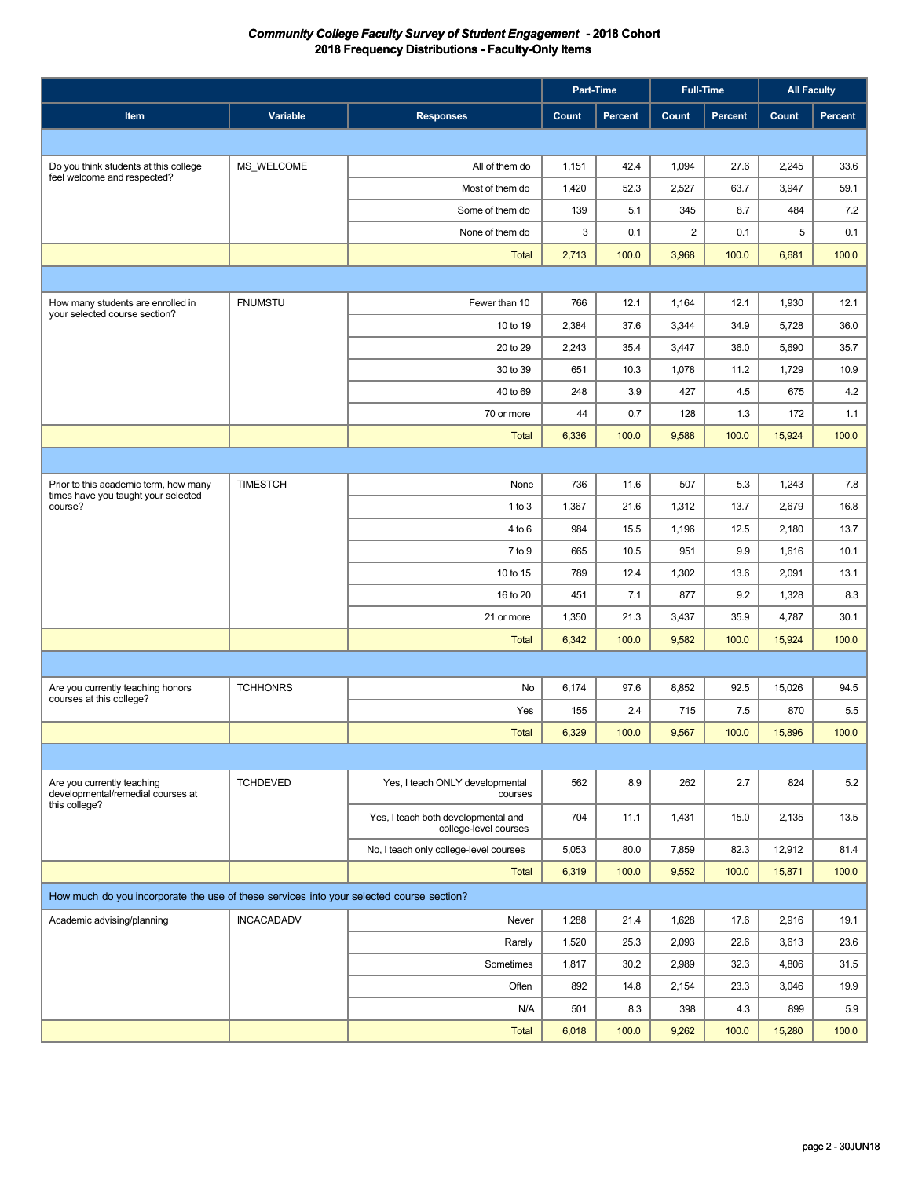|                                                                                          |                   |                                                              |              | Part-Time | <b>Full-Time</b> |         |        | <b>All Faculty</b> |
|------------------------------------------------------------------------------------------|-------------------|--------------------------------------------------------------|--------------|-----------|------------------|---------|--------|--------------------|
| Item                                                                                     | Variable          | <b>Responses</b>                                             | <b>Count</b> | Percent   | Count            | Percent | Count  | Percent            |
|                                                                                          |                   |                                                              |              |           |                  |         |        |                    |
| Do you think students at this college                                                    | MS_WELCOME        | All of them do                                               | 1,151        | 42.4      | 1,094            | 27.6    | 2,245  | 33.6               |
| feel welcome and respected?                                                              |                   | Most of them do                                              | 1,420        | 52.3      | 2,527            | 63.7    | 3,947  | 59.1               |
|                                                                                          |                   | Some of them do                                              | 139          | 5.1       | 345              | 8.7     | 484    | 7.2                |
|                                                                                          |                   | None of them do                                              | 3            | 0.1       | $\overline{2}$   | 0.1     | 5      | 0.1                |
|                                                                                          |                   | <b>Total</b>                                                 | 2,713        | 100.0     | 3,968            | 100.0   | 6,681  | 100.0              |
|                                                                                          |                   |                                                              |              |           |                  |         |        |                    |
| How many students are enrolled in                                                        | <b>FNUMSTU</b>    | Fewer than 10                                                | 766          | 12.1      | 1,164            | 12.1    | 1,930  | 12.1               |
| your selected course section?                                                            |                   | 10 to 19                                                     | 2,384        | 37.6      | 3,344            | 34.9    | 5,728  | 36.0               |
|                                                                                          |                   | 20 to 29                                                     | 2,243        | 35.4      | 3,447            | 36.0    | 5,690  | 35.7               |
|                                                                                          |                   | 30 to 39                                                     | 651          | 10.3      | 1,078            | 11.2    | 1,729  | 10.9               |
|                                                                                          |                   | 40 to 69                                                     | 248          | 3.9       | 427              | 4.5     | 675    | 4.2                |
|                                                                                          |                   | 70 or more                                                   | 44           | 0.7       | 128              | 1.3     | 172    | 1.1                |
|                                                                                          |                   | <b>Total</b>                                                 | 6,336        | 100.0     | 9,588            | 100.0   | 15,924 | 100.0              |
|                                                                                          |                   |                                                              |              |           |                  |         |        |                    |
| Prior to this academic term, how many                                                    | <b>TIMESTCH</b>   | None                                                         | 736          | 11.6      | 507              | 5.3     | 1,243  | 7.8                |
| times have you taught your selected<br>course?                                           |                   | 1 to 3                                                       | 1,367        | 21.6      | 1,312            | 13.7    | 2,679  | 16.8               |
|                                                                                          |                   | 4 to 6                                                       | 984          | 15.5      | 1,196            | 12.5    | 2,180  | 13.7               |
|                                                                                          |                   | 7 to 9                                                       | 665          | 10.5      | 951              | 9.9     | 1,616  | 10.1               |
|                                                                                          |                   | 10 to 15                                                     | 789          | 12.4      | 1,302            | 13.6    | 2,091  | 13.1               |
|                                                                                          |                   | 16 to 20                                                     | 451          | 7.1       | 877              | 9.2     | 1,328  | 8.3                |
|                                                                                          |                   | 21 or more                                                   | 1,350        | 21.3      | 3,437            | 35.9    | 4,787  | 30.1               |
|                                                                                          |                   | <b>Total</b>                                                 | 6,342        | 100.0     | 9,582            | 100.0   | 15,924 | 100.0              |
|                                                                                          |                   |                                                              |              |           |                  |         |        |                    |
| Are you currently teaching honors<br>courses at this college?                            | <b>TCHHONRS</b>   | No                                                           | 6,174        | 97.6      | 8,852            | 92.5    | 15,026 | 94.5               |
|                                                                                          |                   | Yes                                                          | 155          | 2.4       | 715              | 7.5     | 870    | 5.5                |
|                                                                                          |                   | <b>Total</b>                                                 | 6,329        | 100.0     | 9,567            | 100.0   | 15,896 | 100.0              |
|                                                                                          |                   |                                                              |              |           |                  |         |        |                    |
| Are you currently teaching<br>developmental/remedial courses at<br>this college?         | <b>TCHDEVED</b>   | Yes, I teach ONLY developmental<br>courses                   | 562          | 8.9       | 262              | 2.7     | 824    | 5.2                |
|                                                                                          |                   | Yes, I teach both developmental and<br>college-level courses | 704          | 11.1      | 1,431            | 15.0    | 2,135  | 13.5               |
|                                                                                          |                   | No, I teach only college-level courses                       | 5,053        | 80.0      | 7,859            | 82.3    | 12,912 | 81.4               |
|                                                                                          |                   | Total                                                        | 6,319        | 100.0     | 9,552            | 100.0   | 15,871 | 100.0              |
| How much do you incorporate the use of these services into your selected course section? |                   |                                                              |              |           |                  |         |        |                    |
| Academic advising/planning                                                               | <b>INCACADADV</b> | Never                                                        | 1,288        | 21.4      | 1,628            | 17.6    | 2,916  | 19.1               |
|                                                                                          |                   | Rarely                                                       | 1,520        | 25.3      | 2,093            | 22.6    | 3,613  | 23.6               |
|                                                                                          |                   | Sometimes                                                    | 1,817        | 30.2      | 2,989            | 32.3    | 4,806  | 31.5               |
|                                                                                          |                   | Often                                                        | 892          | 14.8      | 2,154            | 23.3    | 3,046  | 19.9               |
|                                                                                          |                   | N/A                                                          | 501          | 8.3       | 398              | 4.3     | 899    | 5.9                |
|                                                                                          |                   | Total                                                        | 6,018        | 100.0     | 9,262            | 100.0   | 15,280 | 100.0              |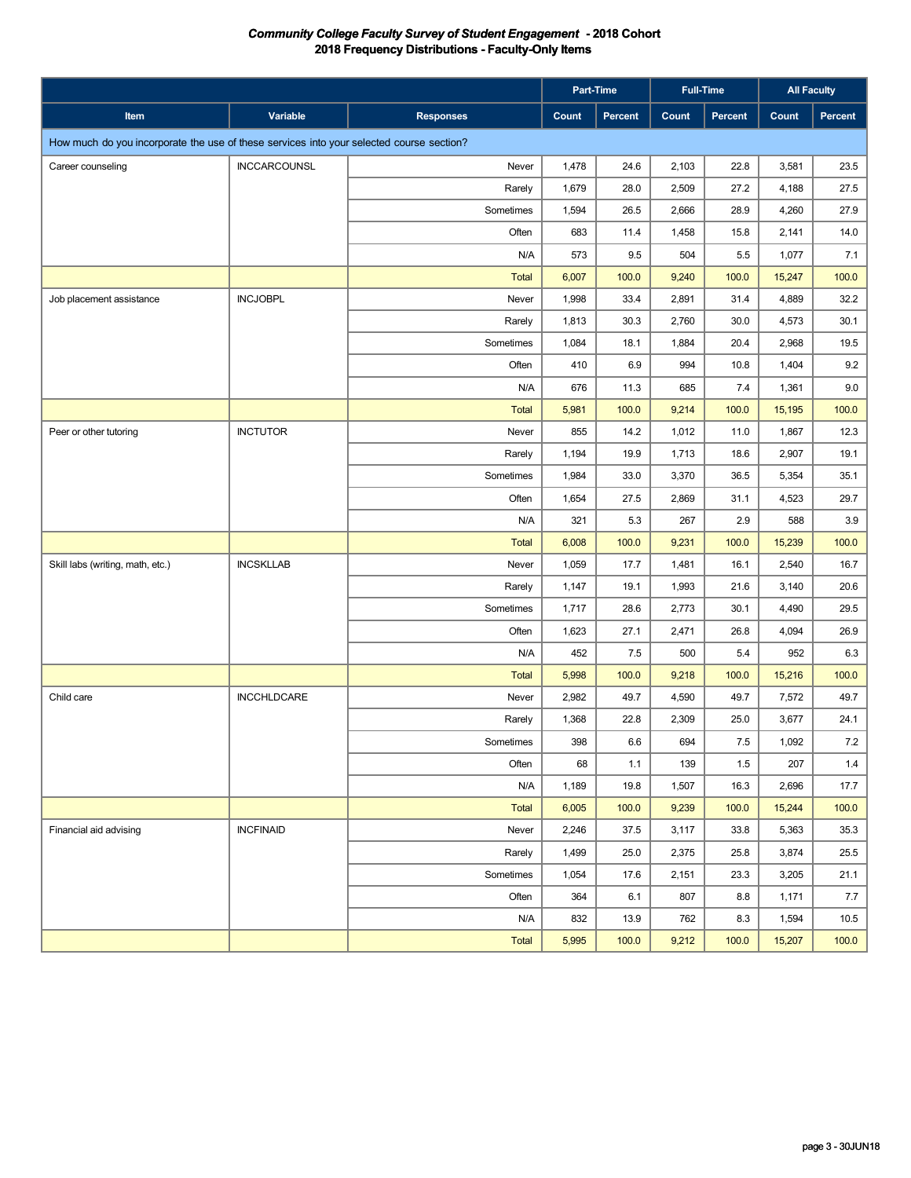|                                                                                          |                     |                  |       | Part-Time      |       | <b>Full-Time</b> | <b>All Faculty</b> |         |
|------------------------------------------------------------------------------------------|---------------------|------------------|-------|----------------|-------|------------------|--------------------|---------|
| Item                                                                                     | Variable            | <b>Responses</b> | Count | <b>Percent</b> | Count | Percent          | Count              | Percent |
| How much do you incorporate the use of these services into your selected course section? |                     |                  |       |                |       |                  |                    |         |
| Career counseling                                                                        | <b>INCCARCOUNSL</b> | Never            | 1,478 | 24.6           | 2,103 | 22.8             | 3,581              | 23.5    |
|                                                                                          |                     | Rarely           | 1,679 | 28.0           | 2,509 | 27.2             | 4,188              | 27.5    |
|                                                                                          |                     | Sometimes        | 1,594 | 26.5           | 2,666 | 28.9             | 4,260              | 27.9    |
|                                                                                          |                     | Often            | 683   | 11.4           | 1,458 | 15.8             | 2,141              | 14.0    |
|                                                                                          |                     | N/A              | 573   | 9.5            | 504   | 5.5              | 1,077              | 7.1     |
|                                                                                          |                     | <b>Total</b>     | 6,007 | 100.0          | 9,240 | 100.0            | 15,247             | 100.0   |
| Job placement assistance                                                                 | <b>INCJOBPL</b>     | Never            | 1,998 | 33.4           | 2,891 | 31.4             | 4,889              | 32.2    |
|                                                                                          |                     | Rarely           | 1,813 | 30.3           | 2,760 | 30.0             | 4,573              | 30.1    |
|                                                                                          |                     | Sometimes        | 1,084 | 18.1           | 1,884 | 20.4             | 2,968              | 19.5    |
|                                                                                          |                     | Often            | 410   | 6.9            | 994   | 10.8             | 1,404              | 9.2     |
|                                                                                          |                     | N/A              | 676   | 11.3           | 685   | 7.4              | 1,361              | 9.0     |
|                                                                                          |                     | <b>Total</b>     | 5,981 | 100.0          | 9,214 | 100.0            | 15,195             | 100.0   |
| Peer or other tutoring                                                                   | <b>INCTUTOR</b>     | Never            | 855   | 14.2           | 1,012 | 11.0             | 1,867              | 12.3    |
|                                                                                          |                     | Rarely           | 1,194 | 19.9           | 1,713 | 18.6             | 2,907              | 19.1    |
|                                                                                          |                     | Sometimes        | 1,984 | 33.0           | 3,370 | 36.5             | 5,354              | 35.1    |
|                                                                                          |                     | Often            | 1,654 | 27.5           | 2,869 | 31.1             | 4,523              | 29.7    |
|                                                                                          |                     | N/A              | 321   | 5.3            | 267   | 2.9              | 588                | 3.9     |
|                                                                                          |                     | <b>Total</b>     | 6,008 | 100.0          | 9,231 | 100.0            | 15,239             | 100.0   |
| Skill labs (writing, math, etc.)                                                         | <b>INCSKLLAB</b>    | Never            | 1,059 | 17.7           | 1,481 | 16.1             | 2,540              | 16.7    |
|                                                                                          |                     | Rarely           | 1,147 | 19.1           | 1,993 | 21.6             | 3,140              | 20.6    |
|                                                                                          |                     | Sometimes        | 1,717 | 28.6           | 2,773 | 30.1             | 4,490              | 29.5    |
|                                                                                          |                     | Often            | 1,623 | 27.1           | 2,471 | 26.8             | 4,094              | 26.9    |
|                                                                                          |                     | N/A              | 452   | 7.5            | 500   | 5.4              | 952                | 6.3     |
|                                                                                          |                     | <b>Total</b>     | 5,998 | 100.0          | 9,218 | 100.0            | 15,216             | 100.0   |
| Child care                                                                               | <b>INCCHLDCARE</b>  | Never            | 2,982 | 49.7           | 4,590 | 49.7             | 7,572              | 49.7    |
|                                                                                          |                     | Rarely           | 1,368 | 22.8           | 2,309 | 25.0             | 3,677              | 24.1    |
|                                                                                          |                     | Sometimes        | 398   | 6.6            | 694   | 7.5              | 1,092              | 7.2     |
|                                                                                          |                     | Often            | 68    | 1.1            | 139   | 1.5              | 207                | 1.4     |
|                                                                                          |                     | N/A              | 1,189 | 19.8           | 1,507 | 16.3             | 2,696              | 17.7    |
|                                                                                          |                     | Total            | 6,005 | 100.0          | 9,239 | 100.0            | 15,244             | 100.0   |
| Financial aid advising                                                                   | <b>INCFINAID</b>    | Never            | 2,246 | 37.5           | 3,117 | 33.8             | 5,363              | 35.3    |
|                                                                                          |                     | Rarely           | 1,499 | 25.0           | 2,375 | 25.8             | 3,874              | 25.5    |
|                                                                                          |                     | Sometimes        | 1,054 | 17.6           | 2,151 | 23.3             | 3,205              | 21.1    |
|                                                                                          |                     | Often            | 364   | 6.1            | 807   | 8.8              | 1,171              | 7.7     |
|                                                                                          |                     | N/A              | 832   | 13.9           | 762   | 8.3              | 1,594              | 10.5    |
|                                                                                          |                     | Total            | 5,995 | 100.0          | 9,212 | 100.0            | 15,207             | 100.0   |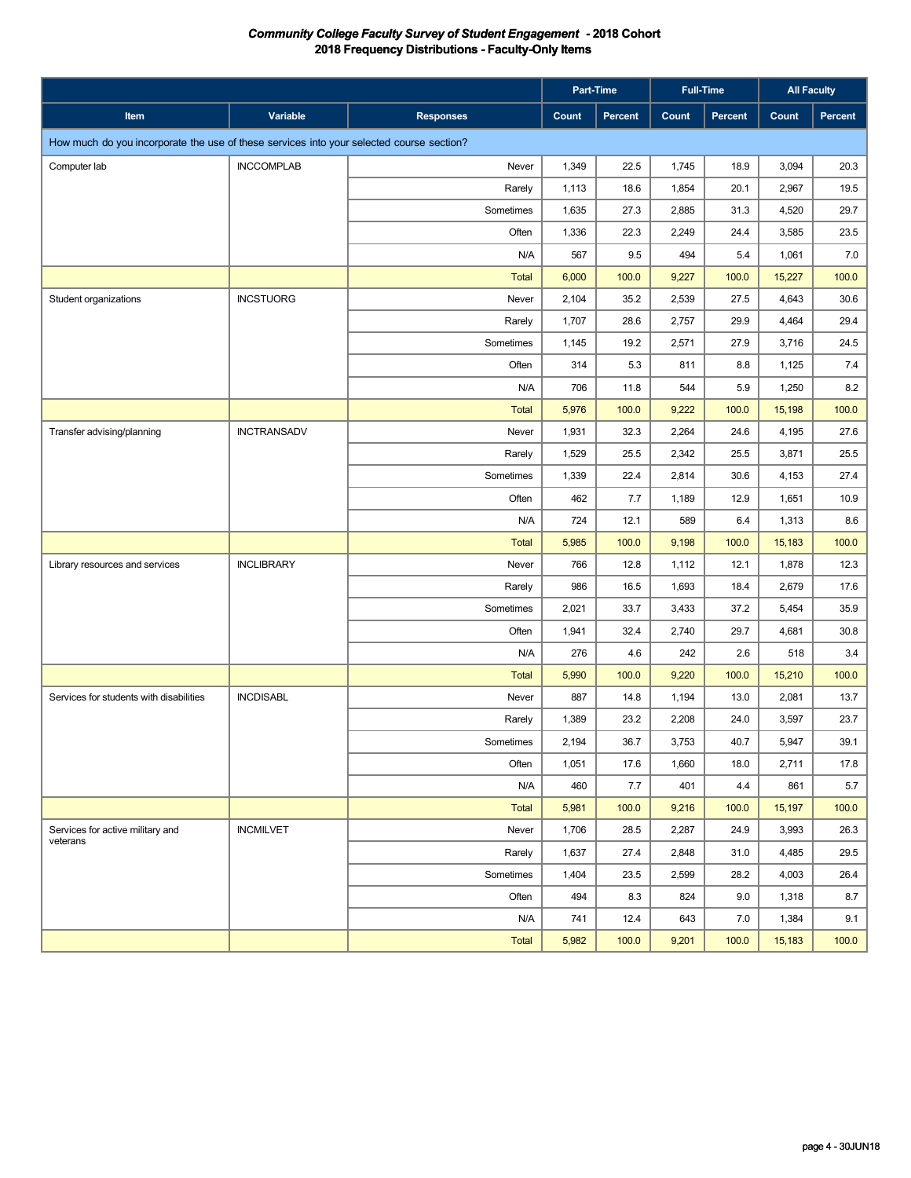|                                                                                          |                    |                  |       | Part-Time | <b>Full-Time</b> |         | <b>All Faculty</b> |                |
|------------------------------------------------------------------------------------------|--------------------|------------------|-------|-----------|------------------|---------|--------------------|----------------|
| Item                                                                                     | Variable           | <b>Responses</b> | Count | Percent   | Count            | Percent | Count              | <b>Percent</b> |
| How much do you incorporate the use of these services into your selected course section? |                    |                  |       |           |                  |         |                    |                |
| Computer lab                                                                             | <b>INCCOMPLAB</b>  | Never            | 1,349 | 22.5      | 1,745            | 18.9    | 3,094              | 20.3           |
|                                                                                          |                    | Rarely           | 1,113 | 18.6      | 1,854            | 20.1    | 2,967              | 19.5           |
|                                                                                          |                    | Sometimes        | 1,635 | 27.3      | 2,885            | 31.3    | 4,520              | 29.7           |
|                                                                                          |                    | Often            | 1,336 | 22.3      | 2,249            | 24.4    | 3,585              | 23.5           |
|                                                                                          |                    | N/A              | 567   | 9.5       | 494              | 5.4     | 1,061              | 7.0            |
|                                                                                          |                    | <b>Total</b>     | 6,000 | 100.0     | 9,227            | 100.0   | 15,227             | 100.0          |
| Student organizations                                                                    | <b>INCSTUORG</b>   | Never            | 2,104 | 35.2      | 2,539            | 27.5    | 4,643              | 30.6           |
|                                                                                          |                    | Rarely           | 1,707 | 28.6      | 2,757            | 29.9    | 4,464              | 29.4           |
|                                                                                          |                    | Sometimes        | 1,145 | 19.2      | 2,571            | 27.9    | 3,716              | 24.5           |
|                                                                                          |                    | Often            | 314   | 5.3       | 811              | 8.8     | 1,125              | 7.4            |
|                                                                                          |                    | N/A              | 706   | 11.8      | 544              | 5.9     | 1,250              | 8.2            |
|                                                                                          |                    | <b>Total</b>     | 5,976 | 100.0     | 9,222            | 100.0   | 15,198             | 100.0          |
| Transfer advising/planning                                                               | <b>INCTRANSADV</b> | Never            | 1,931 | 32.3      | 2,264            | 24.6    | 4,195              | 27.6           |
|                                                                                          |                    | Rarely           | 1,529 | 25.5      | 2,342            | 25.5    | 3,871              | 25.5           |
|                                                                                          |                    | Sometimes        | 1,339 | 22.4      | 2,814            | 30.6    | 4,153              | 27.4           |
|                                                                                          |                    | Often            | 462   | 7.7       | 1,189            | 12.9    | 1,651              | 10.9           |
|                                                                                          |                    | N/A              | 724   | 12.1      | 589              | 6.4     | 1,313              | 8.6            |
|                                                                                          |                    | <b>Total</b>     | 5,985 | 100.0     | 9,198            | 100.0   | 15,183             | 100.0          |
| Library resources and services                                                           | <b>INCLIBRARY</b>  | Never            | 766   | 12.8      | 1,112            | 12.1    | 1,878              | 12.3           |
|                                                                                          |                    | Rarely           | 986   | 16.5      | 1,693            | 18.4    | 2,679              | 17.6           |
|                                                                                          |                    | Sometimes        | 2,021 | 33.7      | 3,433            | 37.2    | 5,454              | 35.9           |
|                                                                                          |                    | Often            | 1,941 | 32.4      | 2,740            | 29.7    | 4,681              | 30.8           |
|                                                                                          |                    | N/A              | 276   | 4.6       | 242              | 2.6     | 518                | 3.4            |
|                                                                                          |                    | <b>Total</b>     | 5,990 | 100.0     | 9,220            | 100.0   | 15,210             | 100.0          |
| Services for students with disabilities                                                  | <b>INCDISABL</b>   | Never            | 887   | 14.8      | 1,194            | 13.0    | 2,081              | 13.7           |
|                                                                                          |                    | Rarely           | 1,389 | 23.2      | 2,208            | 24.0    | 3,597              | 23.7           |
|                                                                                          |                    | Sometimes        | 2,194 | 36.7      | 3,753            | 40.7    | 5,947              | 39.1           |
|                                                                                          |                    | Often            | 1,051 | 17.6      | 1,660            | 18.0    | 2,711              | 17.8           |
|                                                                                          |                    | N/A              | 460   | 7.7       | 401              | 4.4     | 861                | 5.7            |
|                                                                                          |                    | <b>Total</b>     | 5,981 | 100.0     | 9,216            | 100.0   | 15,197             | 100.0          |
| Services for active military and<br>veterans                                             | <b>INCMILVET</b>   | Never            | 1,706 | 28.5      | 2,287            | 24.9    | 3,993              | 26.3           |
|                                                                                          |                    | Rarely           | 1,637 | 27.4      | 2,848            | 31.0    | 4,485              | 29.5           |
|                                                                                          |                    | Sometimes        | 1,404 | 23.5      | 2,599            | 28.2    | 4,003              | 26.4           |
|                                                                                          |                    | Often            | 494   | 8.3       | 824              | 9.0     | 1,318              | 8.7            |
|                                                                                          |                    | N/A              | 741   | 12.4      | 643              | 7.0     | 1,384              | 9.1            |
|                                                                                          |                    | Total            | 5,982 | 100.0     | 9,201            | 100.0   | 15,183             | 100.0          |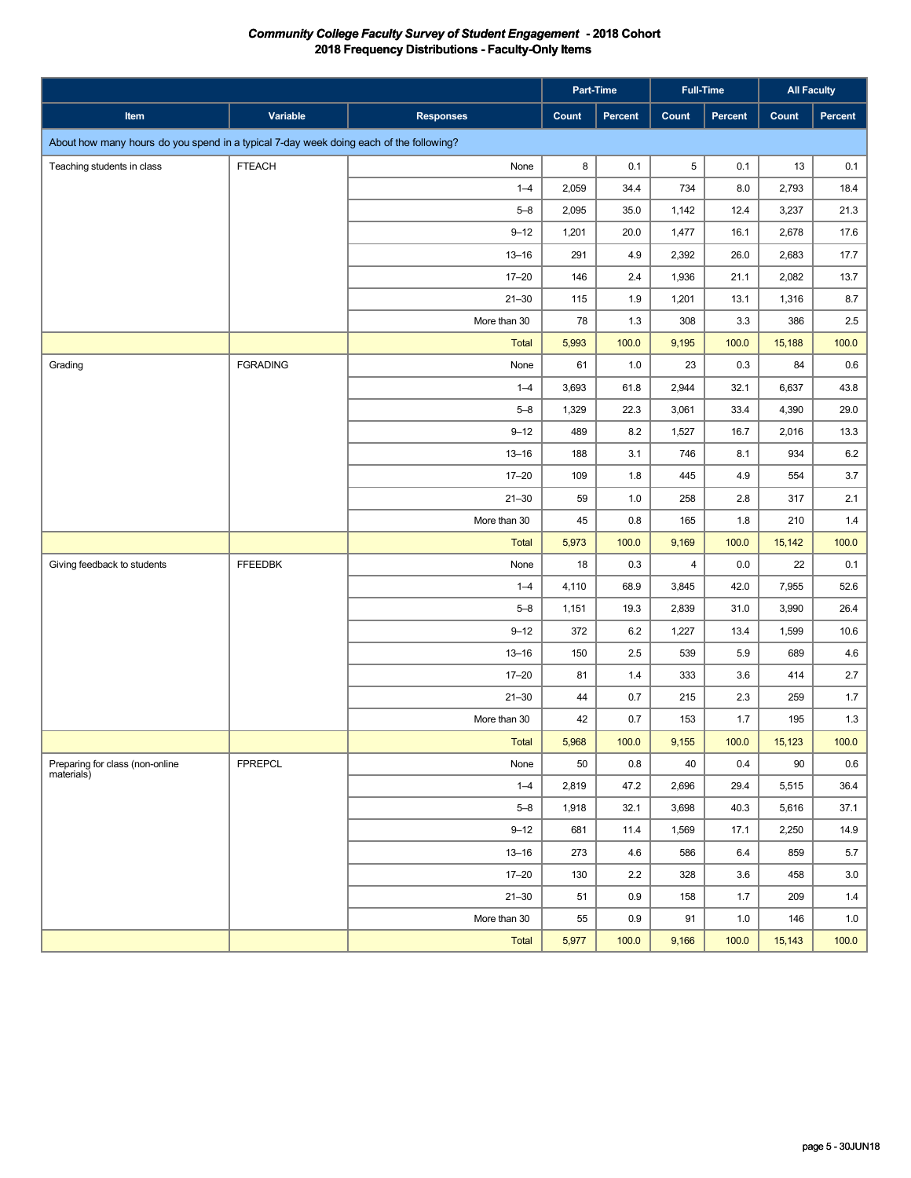|                                                                                        |                 |                  |       | Part-Time | <b>Full-Time</b> |         | <b>All Faculty</b> |         |
|----------------------------------------------------------------------------------------|-----------------|------------------|-------|-----------|------------------|---------|--------------------|---------|
| Item                                                                                   | Variable        | <b>Responses</b> | Count | Percent   | Count            | Percent | Count              | Percent |
| About how many hours do you spend in a typical 7-day week doing each of the following? |                 |                  |       |           |                  |         |                    |         |
| Teaching students in class                                                             | <b>FTEACH</b>   | None             | 8     | 0.1       | 5                | 0.1     | 13                 | 0.1     |
|                                                                                        |                 | $1 - 4$          | 2,059 | 34.4      | 734              | 8.0     | 2,793              | 18.4    |
|                                                                                        |                 | $5 - 8$          | 2,095 | 35.0      | 1,142            | 12.4    | 3,237              | 21.3    |
|                                                                                        |                 | $9 - 12$         | 1,201 | 20.0      | 1,477            | 16.1    | 2,678              | 17.6    |
|                                                                                        |                 | $13 - 16$        | 291   | 4.9       | 2,392            | 26.0    | 2,683              | 17.7    |
|                                                                                        |                 | $17 - 20$        | 146   | 2.4       | 1,936            | 21.1    | 2,082              | 13.7    |
|                                                                                        |                 | $21 - 30$        | 115   | 1.9       | 1,201            | 13.1    | 1,316              | 8.7     |
|                                                                                        |                 | More than 30     | 78    | 1.3       | 308              | 3.3     | 386                | 2.5     |
|                                                                                        |                 | Total            | 5,993 | 100.0     | 9,195            | 100.0   | 15,188             | 100.0   |
| Grading                                                                                | <b>FGRADING</b> | None             | 61    | 1.0       | 23               | 0.3     | 84                 | 0.6     |
|                                                                                        |                 | $1 - 4$          | 3,693 | 61.8      | 2,944            | 32.1    | 6,637              | 43.8    |
|                                                                                        |                 | $5 - 8$          | 1,329 | 22.3      | 3,061            | 33.4    | 4,390              | 29.0    |
|                                                                                        |                 | $9 - 12$         | 489   | 8.2       | 1,527            | 16.7    | 2,016              | 13.3    |
|                                                                                        |                 | $13 - 16$        | 188   | 3.1       | 746              | 8.1     | 934                | 6.2     |
|                                                                                        |                 | $17 - 20$        | 109   | 1.8       | 445              | 4.9     | 554                | 3.7     |
|                                                                                        |                 | $21 - 30$        | 59    | 1.0       | 258              | 2.8     | 317                | 2.1     |
|                                                                                        |                 | More than 30     | 45    | 0.8       | 165              | 1.8     | 210                | 1.4     |
|                                                                                        |                 | <b>Total</b>     | 5,973 | 100.0     | 9,169            | 100.0   | 15,142             | 100.0   |
| Giving feedback to students                                                            | <b>FFEEDBK</b>  | None             | 18    | 0.3       | $\overline{4}$   | 0.0     | 22                 | 0.1     |
|                                                                                        |                 | $1 - 4$          | 4,110 | 68.9      | 3,845            | 42.0    | 7,955              | 52.6    |
|                                                                                        |                 | $5 - 8$          | 1,151 | 19.3      | 2,839            | 31.0    | 3,990              | 26.4    |
|                                                                                        |                 | $9 - 12$         | 372   | 6.2       | 1,227            | 13.4    | 1,599              | 10.6    |
|                                                                                        |                 | $13 - 16$        | 150   | 2.5       | 539              | 5.9     | 689                | 4.6     |
|                                                                                        |                 | $17 - 20$        | 81    | 1.4       | 333              | 3.6     | 414                | 2.7     |
|                                                                                        |                 | $21 - 30$        | 44    | 0.7       | 215              | 2.3     | 259                | 1.7     |
|                                                                                        |                 | More than 30     | 42    | 0.7       | 153              | 1.7     | 195                | 1.3     |
|                                                                                        |                 | Total            | 5,968 | 100.0     | 9,155            | 100.0   | 15,123             | 100.0   |
| Preparing for class (non-online<br>materials)                                          | <b>FPREPCL</b>  | None             | 50    | 0.8       | 40               | 0.4     | 90                 | 0.6     |
|                                                                                        |                 | $1 - 4$          | 2,819 | 47.2      | 2,696            | 29.4    | 5,515              | 36.4    |
|                                                                                        |                 | $5 - 8$          | 1,918 | 32.1      | 3,698            | 40.3    | 5,616              | 37.1    |
|                                                                                        |                 | $9 - 12$         | 681   | 11.4      | 1,569            | 17.1    | 2,250              | 14.9    |
|                                                                                        |                 | $13 - 16$        | 273   | 4.6       | 586              | 6.4     | 859                | $5.7\,$ |
|                                                                                        |                 | $17 - 20$        | 130   | 2.2       | 328              | 3.6     | 458                | 3.0     |
|                                                                                        |                 | $21 - 30$        | 51    | 0.9       | 158              | 1.7     | 209                | 1.4     |
|                                                                                        |                 | More than 30     | 55    | 0.9       | 91               | 1.0     | 146                | 1.0     |
|                                                                                        |                 | Total            | 5,977 | 100.0     | 9,166            | 100.0   | 15,143             | 100.0   |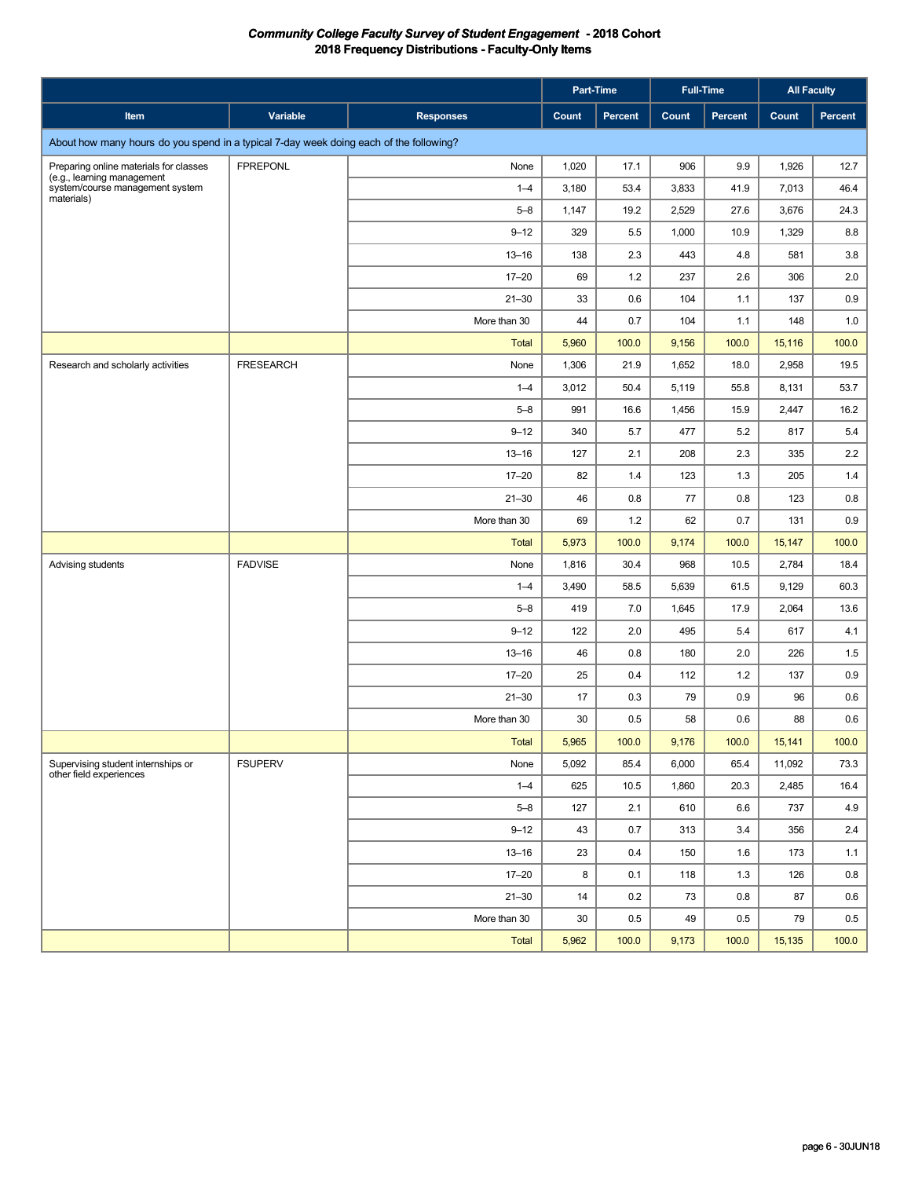|                                                                                        |                  |                  |       | Part-Time |       | <b>Full-Time</b> |        | <b>All Faculty</b> |
|----------------------------------------------------------------------------------------|------------------|------------------|-------|-----------|-------|------------------|--------|--------------------|
| Item                                                                                   | Variable         | <b>Responses</b> | Count | Percent   | Count | <b>Percent</b>   | Count  | Percent            |
| About how many hours do you spend in a typical 7-day week doing each of the following? |                  |                  |       |           |       |                  |        |                    |
| Preparing online materials for classes                                                 | <b>FPREPONL</b>  | None             | 1,020 | 17.1      | 906   | 9.9              | 1,926  | 12.7               |
| (e.g., learning management<br>system/course management system<br>materials)            |                  | $1 - 4$          | 3,180 | 53.4      | 3,833 | 41.9             | 7,013  | 46.4               |
|                                                                                        |                  | $5 - 8$          | 1,147 | 19.2      | 2,529 | 27.6             | 3,676  | 24.3               |
|                                                                                        |                  | $9 - 12$         | 329   | 5.5       | 1,000 | 10.9             | 1,329  | 8.8                |
|                                                                                        |                  | $13 - 16$        | 138   | 2.3       | 443   | 4.8              | 581    | 3.8                |
|                                                                                        |                  | $17 - 20$        | 69    | 1.2       | 237   | 2.6              | 306    | 2.0                |
|                                                                                        |                  | $21 - 30$        | 33    | 0.6       | 104   | 1.1              | 137    | 0.9                |
|                                                                                        |                  | More than 30     | 44    | 0.7       | 104   | 1.1              | 148    | 1.0                |
|                                                                                        |                  | <b>Total</b>     | 5,960 | 100.0     | 9,156 | 100.0            | 15,116 | 100.0              |
| Research and scholarly activities                                                      | <b>FRESEARCH</b> | None             | 1,306 | 21.9      | 1,652 | 18.0             | 2,958  | 19.5               |
|                                                                                        |                  | $1 - 4$          | 3,012 | 50.4      | 5,119 | 55.8             | 8,131  | 53.7               |
|                                                                                        |                  | $5 - 8$          | 991   | 16.6      | 1,456 | 15.9             | 2,447  | 16.2               |
|                                                                                        |                  | $9 - 12$         | 340   | 5.7       | 477   | 5.2              | 817    | 5.4                |
|                                                                                        |                  | $13 - 16$        | 127   | 2.1       | 208   | 2.3              | 335    | 2.2                |
|                                                                                        |                  | $17 - 20$        | 82    | 1.4       | 123   | 1.3              | 205    | 1.4                |
|                                                                                        |                  | $21 - 30$        | 46    | 0.8       | 77    | 0.8              | 123    | 0.8                |
|                                                                                        |                  | More than 30     | 69    | 1.2       | 62    | 0.7              | 131    | 0.9                |
|                                                                                        |                  | <b>Total</b>     | 5,973 | 100.0     | 9,174 | 100.0            | 15,147 | 100.0              |
| Advising students                                                                      | <b>FADVISE</b>   | None             | 1,816 | 30.4      | 968   | 10.5             | 2,784  | 18.4               |
|                                                                                        |                  | $1 - 4$          | 3,490 | 58.5      | 5,639 | 61.5             | 9,129  | 60.3               |
|                                                                                        |                  | $5 - 8$          | 419   | 7.0       | 1,645 | 17.9             | 2,064  | 13.6               |
|                                                                                        |                  | $9 - 12$         | 122   | 2.0       | 495   | 5.4              | 617    | 4.1                |
|                                                                                        |                  | $13 - 16$        | 46    | 0.8       | 180   | 2.0              | 226    | 1.5                |
|                                                                                        |                  | $17 - 20$        | 25    | 0.4       | 112   | $1.2$            | 137    | 0.9                |
|                                                                                        |                  | $21 - 30$        | 17    | 0.3       | 79    | 0.9              | 96     | 0.6                |
|                                                                                        |                  | More than 30     | 30    | 0.5       | 58    | 0.6              | 88     | 0.6                |
|                                                                                        |                  | Total            | 5,965 | 100.0     | 9,176 | 100.0            | 15,141 | 100.0              |
| Supervising student internships or<br>other field experiences                          | <b>FSUPERV</b>   | None             | 5,092 | 85.4      | 6,000 | 65.4             | 11,092 | 73.3               |
|                                                                                        |                  | $1 - 4$          | 625   | 10.5      | 1,860 | 20.3             | 2,485  | 16.4               |
|                                                                                        |                  | $5 - 8$          | 127   | 2.1       | 610   | 6.6              | 737    | 4.9                |
|                                                                                        |                  | $9 - 12$         | 43    | 0.7       | 313   | 3.4              | 356    | 2.4                |
|                                                                                        |                  | $13 - 16$        | 23    | 0.4       | 150   | 1.6              | 173    | 1.1                |
|                                                                                        |                  | $17 - 20$        | 8     | 0.1       | 118   | 1.3              | 126    | 0.8                |
|                                                                                        |                  | $21 - 30$        | 14    | 0.2       | 73    | 0.8              | 87     | 0.6                |
|                                                                                        |                  | More than 30     | 30    | 0.5       | 49    | 0.5              | 79     | 0.5                |
|                                                                                        |                  | Total            | 5,962 | 100.0     | 9,173 | 100.0            | 15,135 | 100.0              |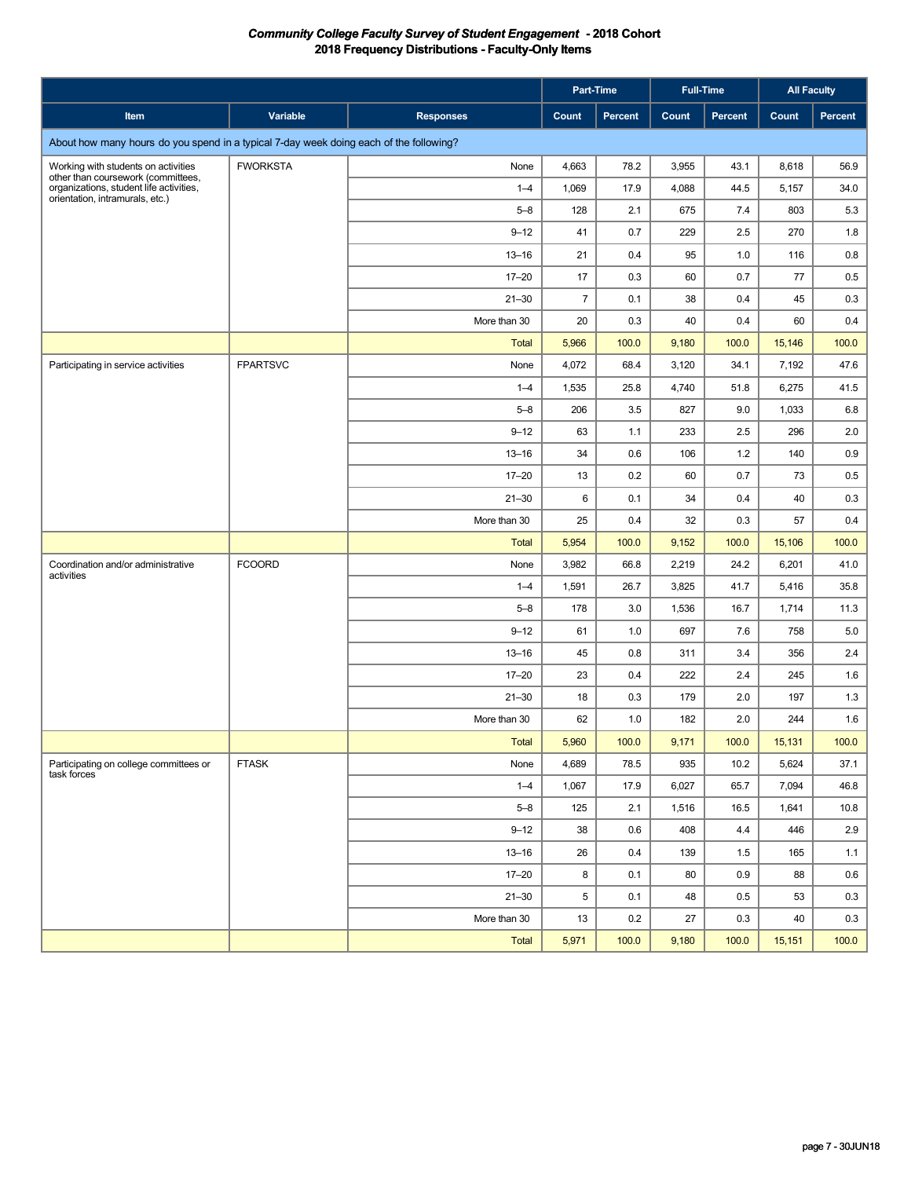|                                                                                                                  |                 |                  |                | Part-Time |       | <b>Full-Time</b> | <b>All Faculty</b> |         |
|------------------------------------------------------------------------------------------------------------------|-----------------|------------------|----------------|-----------|-------|------------------|--------------------|---------|
| Item                                                                                                             | Variable        | <b>Responses</b> | Count          | Percent   | Count | Percent          | Count              | Percent |
| About how many hours do you spend in a typical 7-day week doing each of the following?                           |                 |                  |                |           |       |                  |                    |         |
| Working with students on activities                                                                              | <b>FWORKSTA</b> | None             | 4,663          | 78.2      | 3,955 | 43.1             | 8,618              | 56.9    |
| other than coursework (committees,<br>organizations, student life activities,<br>orientation, intramurals, etc.) |                 | $1 - 4$          | 1,069          | 17.9      | 4,088 | 44.5             | 5,157              | 34.0    |
|                                                                                                                  |                 | $5 - 8$          | 128            | 2.1       | 675   | 7.4              | 803                | 5.3     |
|                                                                                                                  |                 | $9 - 12$         | 41             | 0.7       | 229   | 2.5              | 270                | 1.8     |
|                                                                                                                  |                 | $13 - 16$        | 21             | 0.4       | 95    | 1.0              | 116                | 0.8     |
|                                                                                                                  |                 | $17 - 20$        | 17             | 0.3       | 60    | 0.7              | 77                 | 0.5     |
|                                                                                                                  |                 | $21 - 30$        | $\overline{7}$ | 0.1       | 38    | 0.4              | 45                 | 0.3     |
|                                                                                                                  |                 | More than 30     | 20             | 0.3       | 40    | 0.4              | 60                 | 0.4     |
|                                                                                                                  |                 | Total            | 5,966          | 100.0     | 9,180 | 100.0            | 15,146             | 100.0   |
| Participating in service activities                                                                              | <b>FPARTSVC</b> | None             | 4,072          | 68.4      | 3,120 | 34.1             | 7,192              | 47.6    |
|                                                                                                                  |                 | $1 - 4$          | 1,535          | 25.8      | 4,740 | 51.8             | 6,275              | 41.5    |
|                                                                                                                  |                 | $5 - 8$          | 206            | 3.5       | 827   | 9.0              | 1,033              | 6.8     |
|                                                                                                                  |                 | $9 - 12$         | 63             | 1.1       | 233   | 2.5              | 296                | 2.0     |
|                                                                                                                  |                 | $13 - 16$        | 34             | 0.6       | 106   | 1.2              | 140                | 0.9     |
|                                                                                                                  |                 | $17 - 20$        | 13             | 0.2       | 60    | 0.7              | 73                 | 0.5     |
|                                                                                                                  |                 | $21 - 30$        | 6              | 0.1       | 34    | 0.4              | 40                 | 0.3     |
|                                                                                                                  |                 | More than 30     | 25             | 0.4       | 32    | 0.3              | 57                 | 0.4     |
|                                                                                                                  |                 | <b>Total</b>     | 5,954          | 100.0     | 9,152 | 100.0            | 15,106             | 100.0   |
| Coordination and/or administrative<br>activities                                                                 | <b>FCOORD</b>   | None             | 3,982          | 66.8      | 2,219 | 24.2             | 6,201              | 41.0    |
|                                                                                                                  |                 | $1 - 4$          | 1,591          | 26.7      | 3,825 | 41.7             | 5,416              | 35.8    |
|                                                                                                                  |                 | $5 - 8$          | 178            | 3.0       | 1,536 | 16.7             | 1,714              | 11.3    |
|                                                                                                                  |                 | $9 - 12$         | 61             | 1.0       | 697   | 7.6              | 758                | 5.0     |
|                                                                                                                  |                 | $13 - 16$        | 45             | 0.8       | 311   | 3.4              | 356                | 2.4     |
|                                                                                                                  |                 | $17 - 20$        | 23             | 0.4       | 222   | 2.4              | 245                | 1.6     |
|                                                                                                                  |                 | $21 - 30$        | 18             | 0.3       | 179   | 2.0              | 197                | 1.3     |
|                                                                                                                  |                 | More than 30     | 62             | 1.0       | 182   | 2.0              | 244                | 1.6     |
|                                                                                                                  |                 | <b>Total</b>     | 5,960          | 100.0     | 9,171 | 100.0            | 15,131             | 100.0   |
| Participating on college committees or<br>task forces                                                            | <b>FTASK</b>    | None             | 4,689          | 78.5      | 935   | 10.2             | 5,624              | 37.1    |
|                                                                                                                  |                 | $1 - 4$          | 1,067          | 17.9      | 6,027 | 65.7             | 7,094              | 46.8    |
|                                                                                                                  |                 | $5 - 8$          | 125            | 2.1       | 1,516 | 16.5             | 1,641              | 10.8    |
|                                                                                                                  |                 | $9 - 12$         | 38             | 0.6       | 408   | 4.4              | 446                | 2.9     |
|                                                                                                                  |                 | $13 - 16$        | 26             | 0.4       | 139   | 1.5              | 165                | 1.1     |
|                                                                                                                  |                 | $17 - 20$        | 8              | 0.1       | 80    | 0.9              | 88                 | 0.6     |
|                                                                                                                  |                 | $21 - 30$        | 5              | 0.1       | 48    | 0.5              | 53                 | 0.3     |
|                                                                                                                  |                 | More than 30     | 13             | 0.2       | 27    | 0.3              | 40                 | 0.3     |
|                                                                                                                  |                 | Total            | 5,971          | 100.0     | 9,180 | 100.0            | 15,151             | 100.0   |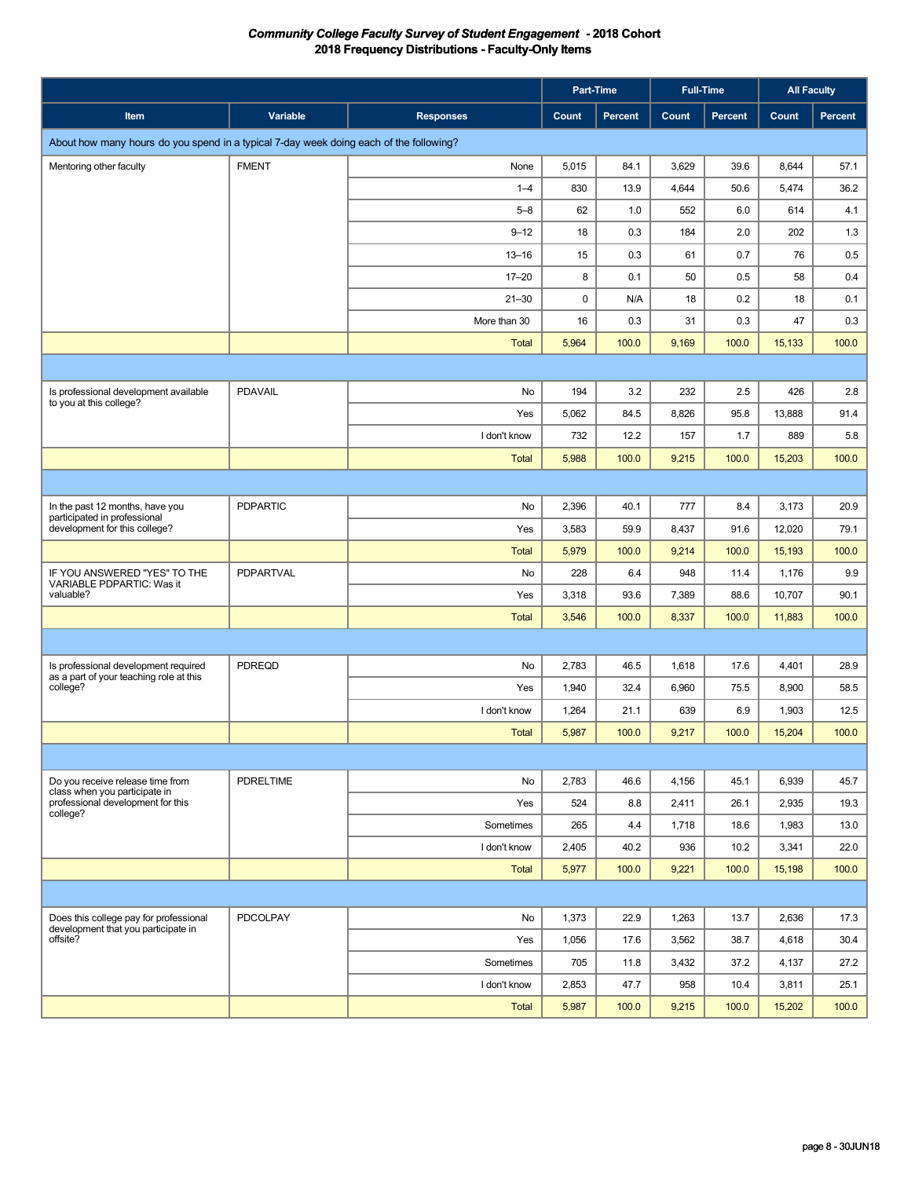|                                                                                        |                  |                  |       | Part-Time |       | <b>Full-Time</b> | <b>All Faculty</b> |         |
|----------------------------------------------------------------------------------------|------------------|------------------|-------|-----------|-------|------------------|--------------------|---------|
| Item                                                                                   | Variable         | <b>Responses</b> | Count | Percent   | Count | Percent          | Count              | Percent |
| About how many hours do you spend in a typical 7-day week doing each of the following? |                  |                  |       |           |       |                  |                    |         |
| Mentoring other faculty                                                                | <b>FMENT</b>     | None             | 5,015 | 84.1      | 3,629 | 39.6             | 8,644              | 57.1    |
|                                                                                        |                  | $1 - 4$          | 830   | 13.9      | 4,644 | 50.6             | 5,474              | 36.2    |
|                                                                                        |                  | $5 - 8$          | 62    | 1.0       | 552   | 6.0              | 614                | 4.1     |
|                                                                                        |                  | $9 - 12$         | 18    | 0.3       | 184   | 2.0              | 202                | 1.3     |
|                                                                                        |                  | $13 - 16$        | 15    | 0.3       | 61    | 0.7              | 76                 | 0.5     |
|                                                                                        |                  | $17 - 20$        | 8     | 0.1       | 50    | 0.5              | 58                 | 0.4     |
|                                                                                        |                  | $21 - 30$        | 0     | N/A       | 18    | 0.2              | 18                 | 0.1     |
|                                                                                        |                  | More than 30     | 16    | 0.3       | 31    | 0.3              | 47                 | 0.3     |
|                                                                                        |                  | Total            | 5,964 | 100.0     | 9,169 | 100.0            | 15,133             | 100.0   |
|                                                                                        |                  |                  |       |           |       |                  |                    |         |
| Is professional development available                                                  | <b>PDAVAIL</b>   | No               | 194   | 3.2       | 232   | 2.5              | 426                | 2.8     |
| to you at this college?                                                                |                  | Yes              | 5,062 | 84.5      | 8,826 | 95.8             | 13,888             | 91.4    |
|                                                                                        |                  | I don't know     | 732   | 12.2      | 157   | 1.7              | 889                | 5.8     |
|                                                                                        |                  | <b>Total</b>     | 5,988 | 100.0     | 9,215 | 100.0            | 15,203             | 100.0   |
|                                                                                        |                  |                  |       |           |       |                  |                    |         |
| In the past 12 months, have you                                                        | <b>PDPARTIC</b>  | No               | 2,396 | 40.1      | 777   | 8.4              | 3,173              | 20.9    |
| participated in professional<br>development for this college?                          |                  | Yes              | 3,583 | 59.9      | 8,437 | 91.6             | 12,020             | 79.1    |
|                                                                                        |                  | <b>Total</b>     | 5,979 | 100.0     | 9,214 | 100.0            | 15,193             | 100.0   |
| IF YOU ANSWERED "YES" TO THE<br>VARIABLE PDPARTIC: Was it                              | PDPARTVAL        | No               | 228   | 6.4       | 948   | 11.4             | 1,176              | 9.9     |
| valuable?                                                                              |                  | Yes              | 3,318 | 93.6      | 7,389 | 88.6             | 10,707             | 90.1    |
|                                                                                        |                  | <b>Total</b>     | 3,546 | 100.0     | 8,337 | 100.0            | 11,883             | 100.0   |
|                                                                                        |                  |                  |       |           |       |                  |                    |         |
| Is professional development required                                                   | <b>PDREQD</b>    | No               | 2,783 | 46.5      | 1,618 | 17.6             | 4,401              | 28.9    |
| as a part of your teaching role at this<br>college?                                    |                  | Yes              | 1,940 | 32.4      | 6,960 | 75.5             | 8,900              | 58.5    |
|                                                                                        |                  | I don't know     | 1,264 | 21.1      | 639   | 6.9              | 1,903              | 12.5    |
|                                                                                        |                  | <b>Total</b>     | 5,987 | 100.0     | 9,217 | 100.0            | 15,204             | 100.0   |
|                                                                                        |                  |                  |       |           |       |                  |                    |         |
| Do you receive release time from                                                       | <b>PDRELTIME</b> | No               | 2,783 | 46.6      | 4,156 | 45.1             | 6,939              | 45.7    |
| class when you participate in<br>professional development for this<br>college?         |                  | Yes              | 524   | 8.8       | 2,411 | 26.1             | 2,935              | 19.3    |
|                                                                                        |                  | Sometimes        | 265   | 4.4       | 1,718 | 18.6             | 1,983              | 13.0    |
|                                                                                        |                  | I don't know     | 2,405 | 40.2      | 936   | 10.2             | 3,341              | 22.0    |
|                                                                                        |                  | Total            | 5,977 | 100.0     | 9,221 | 100.0            | 15,198             | 100.0   |
|                                                                                        |                  |                  |       |           |       |                  |                    |         |
| Does this college pay for professional                                                 | PDCOLPAY         | No               | 1,373 | 22.9      | 1,263 | 13.7             | 2,636              | 17.3    |
| development that you participate in<br>offsite?                                        |                  | Yes              | 1,056 | 17.6      | 3,562 | 38.7             | 4,618              | 30.4    |
|                                                                                        |                  | Sometimes        | 705   | 11.8      | 3,432 | 37.2             | 4,137              | 27.2    |
|                                                                                        |                  | I don't know     | 2,853 | 47.7      | 958   | 10.4             | 3,811              | 25.1    |
|                                                                                        |                  | <b>Total</b>     | 5,987 | 100.0     | 9,215 | 100.0            | 15,202             | 100.0   |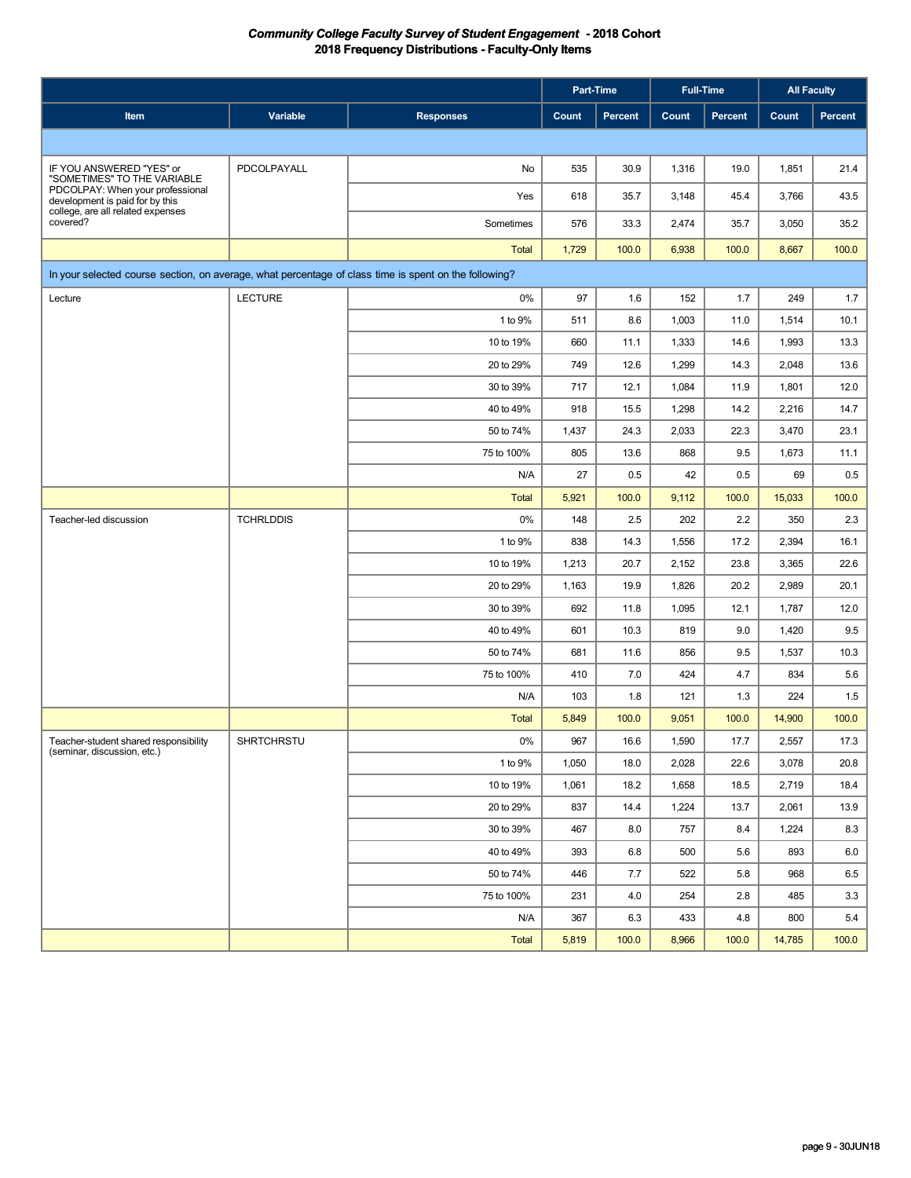|                                                                                                       |                  |                  |       | Part-Time |       | <b>Full-Time</b> | <b>All Faculty</b> |         |
|-------------------------------------------------------------------------------------------------------|------------------|------------------|-------|-----------|-------|------------------|--------------------|---------|
| Item                                                                                                  | Variable         | <b>Responses</b> | Count | Percent   | Count | Percent          | Count              | Percent |
|                                                                                                       |                  |                  |       |           |       |                  |                    |         |
| IF YOU ANSWERED "YES" or                                                                              | PDCOLPAYALL      | No               | 535   | 30.9      | 1,316 | 19.0             | 1,851              | 21.4    |
| "SOMETIMES" TO THE VARIABLE<br>PDCOLPAY: When your professional<br>development is paid for by this    |                  | Yes              | 618   | 35.7      | 3,148 | 45.4             | 3,766              | 43.5    |
| college, are all related expenses<br>covered?                                                         |                  | Sometimes        | 576   | 33.3      | 2,474 | 35.7             | 3,050              | 35.2    |
|                                                                                                       |                  | <b>Total</b>     | 1,729 | 100.0     | 6,938 | 100.0            | 8,667              | 100.0   |
| In your selected course section, on average, what percentage of class time is spent on the following? |                  |                  |       |           |       |                  |                    |         |
| Lecture                                                                                               | <b>LECTURE</b>   | $0\%$            | 97    | 1.6       | 152   | 1.7              | 249                | 1.7     |
|                                                                                                       |                  | 1 to 9%          | 511   | 8.6       | 1,003 | 11.0             | 1,514              | 10.1    |
|                                                                                                       |                  | 10 to 19%        | 660   | 11.1      | 1,333 | 14.6             | 1,993              | 13.3    |
|                                                                                                       |                  | 20 to 29%        | 749   | 12.6      | 1,299 | 14.3             | 2,048              | 13.6    |
|                                                                                                       |                  | 30 to 39%        | 717   | 12.1      | 1,084 | 11.9             | 1,801              | 12.0    |
|                                                                                                       |                  | 40 to 49%        | 918   | 15.5      | 1,298 | 14.2             | 2,216              | 14.7    |
|                                                                                                       |                  | 50 to 74%        | 1,437 | 24.3      | 2,033 | 22.3             | 3,470              | 23.1    |
|                                                                                                       |                  | 75 to 100%       | 805   | 13.6      | 868   | 9.5              | 1,673              | 11.1    |
|                                                                                                       |                  | N/A              | 27    | 0.5       | 42    | 0.5              | 69                 | 0.5     |
|                                                                                                       |                  | <b>Total</b>     | 5,921 | 100.0     | 9,112 | 100.0            | 15,033             | 100.0   |
| Teacher-led discussion                                                                                | <b>TCHRLDDIS</b> | 0%               | 148   | 2.5       | 202   | 2.2              | 350                | 2.3     |
|                                                                                                       |                  | 1 to 9%          | 838   | 14.3      | 1,556 | 17.2             | 2,394              | 16.1    |
|                                                                                                       |                  | 10 to 19%        | 1,213 | 20.7      | 2,152 | 23.8             | 3,365              | 22.6    |
|                                                                                                       |                  | 20 to 29%        | 1,163 | 19.9      | 1,826 | 20.2             | 2,989              | 20.1    |
|                                                                                                       |                  | 30 to 39%        | 692   | 11.8      | 1,095 | 12.1             | 1,787              | 12.0    |
|                                                                                                       |                  | 40 to 49%        | 601   | 10.3      | 819   | 9.0              | 1,420              | 9.5     |
|                                                                                                       |                  | 50 to 74%        | 681   | 11.6      | 856   | 9.5              | 1,537              | 10.3    |
|                                                                                                       |                  | 75 to 100%       | 410   | 7.0       | 424   | 4.7              | 834                | 5.6     |
|                                                                                                       |                  | N/A              | 103   | 1.8       | 121   | 1.3              | 224                | 1.5     |
|                                                                                                       |                  | <b>Total</b>     | 5,849 | 100.0     | 9,051 | 100.0            | 14,900             | 100.0   |
| Teacher-student shared responsibility<br>(seminar, discussion, etc.)                                  | SHRTCHRSTU       | $0\%$            | 967   | 16.6      | 1,590 | 17.7             | 2,557              | 17.3    |
|                                                                                                       |                  | 1 to 9%          | 1,050 | 18.0      | 2,028 | 22.6             | 3,078              | 20.8    |
|                                                                                                       |                  | 10 to 19%        | 1,061 | 18.2      | 1,658 | 18.5             | 2,719              | 18.4    |
|                                                                                                       |                  | 20 to 29%        | 837   | 14.4      | 1,224 | 13.7             | 2,061              | 13.9    |
|                                                                                                       |                  | 30 to 39%        | 467   | 8.0       | 757   | 8.4              | 1,224              | 8.3     |
|                                                                                                       |                  | 40 to 49%        | 393   | 6.8       | 500   | 5.6              | 893                | 6.0     |
|                                                                                                       |                  | 50 to 74%        | 446   | 7.7       | 522   | 5.8              | 968                | 6.5     |
|                                                                                                       |                  | 75 to 100%       | 231   | 4.0       | 254   | 2.8              | 485                | 3.3     |
|                                                                                                       |                  | N/A              | 367   | 6.3       | 433   | 4.8              | 800                | 5.4     |
|                                                                                                       |                  | Total            | 5,819 | 100.0     | 8,966 | 100.0            | 14,785             | 100.0   |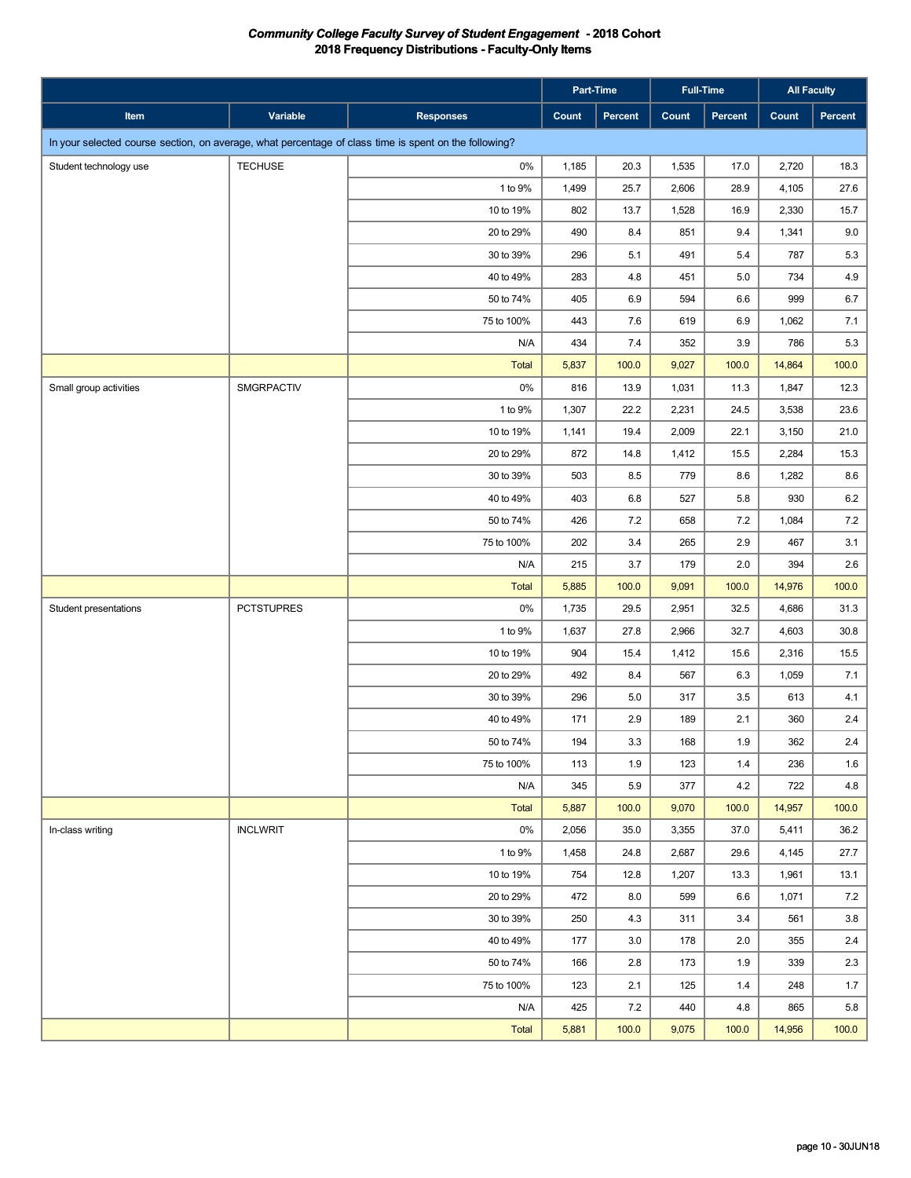|                                                                                                       |                   |                  |       | Part-Time |       | <b>Full-Time</b> |        | <b>All Faculty</b> |
|-------------------------------------------------------------------------------------------------------|-------------------|------------------|-------|-----------|-------|------------------|--------|--------------------|
| Item                                                                                                  | Variable          | <b>Responses</b> | Count | Percent   | Count | Percent          | Count  | Percent            |
| In your selected course section, on average, what percentage of class time is spent on the following? |                   |                  |       |           |       |                  |        |                    |
| Student technology use                                                                                | <b>TECHUSE</b>    | 0%               | 1,185 | 20.3      | 1,535 | 17.0             | 2,720  | 18.3               |
|                                                                                                       |                   | 1 to 9%          | 1,499 | 25.7      | 2,606 | 28.9             | 4,105  | 27.6               |
|                                                                                                       |                   | 10 to 19%        | 802   | 13.7      | 1,528 | 16.9             | 2,330  | 15.7               |
|                                                                                                       |                   | 20 to 29%        | 490   | 8.4       | 851   | 9.4              | 1,341  | $9.0\,$            |
|                                                                                                       |                   | 30 to 39%        | 296   | 5.1       | 491   | 5.4              | 787    | $5.3\,$            |
|                                                                                                       |                   | 40 to 49%        | 283   | 4.8       | 451   | 5.0              | 734    | 4.9                |
|                                                                                                       |                   | 50 to 74%        | 405   | 6.9       | 594   | 6.6              | 999    | 6.7                |
|                                                                                                       |                   | 75 to 100%       | 443   | 7.6       | 619   | 6.9              | 1,062  | 7.1                |
|                                                                                                       |                   | N/A              | 434   | 7.4       | 352   | 3.9              | 786    | 5.3                |
|                                                                                                       |                   | <b>Total</b>     | 5,837 | 100.0     | 9,027 | 100.0            | 14,864 | 100.0              |
| Small group activities                                                                                | SMGRPACTIV        | 0%               | 816   | 13.9      | 1,031 | 11.3             | 1,847  | 12.3               |
|                                                                                                       |                   | 1 to 9%          | 1,307 | 22.2      | 2,231 | 24.5             | 3,538  | 23.6               |
|                                                                                                       |                   | 10 to 19%        | 1,141 | 19.4      | 2,009 | 22.1             | 3,150  | 21.0               |
|                                                                                                       |                   | 20 to 29%        | 872   | 14.8      | 1,412 | 15.5             | 2,284  | 15.3               |
|                                                                                                       |                   | 30 to 39%        | 503   | 8.5       | 779   | 8.6              | 1,282  | 8.6                |
|                                                                                                       |                   | 40 to 49%        | 403   | 6.8       | 527   | 5.8              | 930    | $6.2\,$            |
|                                                                                                       |                   | 50 to 74%        | 426   | 7.2       | 658   | 7.2              | 1,084  | 7.2                |
|                                                                                                       |                   | 75 to 100%       | 202   | 3.4       | 265   | 2.9              | 467    | 3.1                |
|                                                                                                       |                   | N/A              | 215   | 3.7       | 179   | 2.0              | 394    | $2.6\,$            |
|                                                                                                       |                   | <b>Total</b>     | 5,885 | 100.0     | 9,091 | 100.0            | 14,976 | 100.0              |
| Student presentations                                                                                 | <b>PCTSTUPRES</b> | $0\%$            | 1,735 | 29.5      | 2,951 | 32.5             | 4,686  | 31.3               |
|                                                                                                       |                   | 1 to 9%          | 1,637 | 27.8      | 2,966 | 32.7             | 4,603  | 30.8               |
|                                                                                                       |                   | 10 to 19%        | 904   | 15.4      | 1,412 | 15.6             | 2,316  | 15.5               |
|                                                                                                       |                   | 20 to 29%        | 492   | 8.4       | 567   | 6.3              | 1,059  | 7.1                |
|                                                                                                       |                   | 30 to 39%        | 296   | 5.0       | 317   | 3.5              | 613    | 4.1                |
|                                                                                                       |                   | 40 to 49%        | 171   | 2.9       | 189   | 2.1              | 360    | $2.4\,$            |
|                                                                                                       |                   | 50 to 74%        | 194   | 3.3       | 168   | 1.9              | 362    | 2.4                |
|                                                                                                       |                   | 75 to 100%       | 113   | 1.9       | 123   | 1.4              | 236    | 1.6                |
|                                                                                                       |                   | N/A              | 345   | 5.9       | 377   | 4.2              | 722    | 4.8                |
|                                                                                                       |                   | Total            | 5,887 | 100.0     | 9,070 | 100.0            | 14,957 | 100.0              |
| In-class writing                                                                                      | <b>INCLWRIT</b>   | $0\%$            | 2,056 | 35.0      | 3,355 | 37.0             | 5,411  | 36.2               |
|                                                                                                       |                   | 1 to 9%          | 1,458 | 24.8      | 2,687 | 29.6             | 4,145  | 27.7               |
|                                                                                                       |                   | 10 to 19%        | 754   | 12.8      | 1,207 | 13.3             | 1,961  | 13.1               |
|                                                                                                       |                   | 20 to 29%        | 472   | 8.0       | 599   | 6.6              | 1,071  | 7.2                |
|                                                                                                       |                   | 30 to 39%        | 250   | 4.3       | 311   | 3.4              | 561    | 3.8                |
|                                                                                                       |                   | 40 to 49%        | 177   | 3.0       | 178   | 2.0              | 355    | 2.4                |
|                                                                                                       |                   | 50 to 74%        | 166   | 2.8       | 173   | 1.9              | 339    | 2.3                |
|                                                                                                       |                   | 75 to 100%       | 123   | 2.1       | 125   | 1.4              | 248    | 1.7                |
|                                                                                                       |                   | N/A              | 425   | 7.2       | 440   | 4.8              | 865    | 5.8                |
|                                                                                                       |                   | Total            | 5,881 | 100.0     | 9,075 | 100.0            | 14,956 | 100.0              |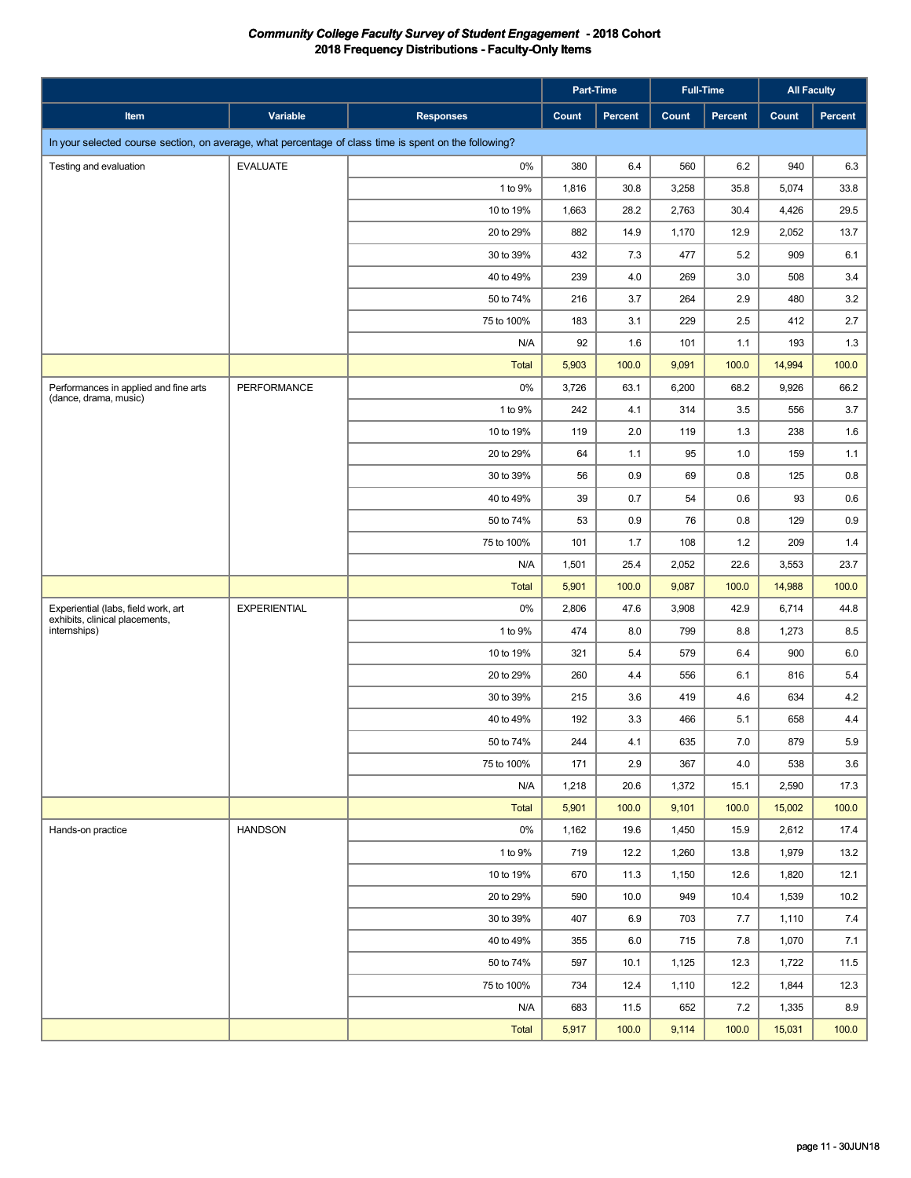|                                                                                                       |                     |                  |       | Part-Time |       | <b>Full-Time</b> |        | <b>All Faculty</b> |
|-------------------------------------------------------------------------------------------------------|---------------------|------------------|-------|-----------|-------|------------------|--------|--------------------|
| Item                                                                                                  | Variable            | <b>Responses</b> | Count | Percent   | Count | <b>Percent</b>   | Count  | Percent            |
| In your selected course section, on average, what percentage of class time is spent on the following? |                     |                  |       |           |       |                  |        |                    |
| Testing and evaluation                                                                                | <b>EVALUATE</b>     | $0\%$            | 380   | 6.4       | 560   | 6.2              | 940    | 6.3                |
|                                                                                                       |                     | 1 to 9%          | 1,816 | 30.8      | 3,258 | 35.8             | 5,074  | 33.8               |
|                                                                                                       |                     | 10 to 19%        | 1,663 | 28.2      | 2,763 | 30.4             | 4,426  | 29.5               |
|                                                                                                       |                     | 20 to 29%        | 882   | 14.9      | 1,170 | 12.9             | 2,052  | 13.7               |
|                                                                                                       |                     | 30 to 39%        | 432   | 7.3       | 477   | 5.2              | 909    | 6.1                |
|                                                                                                       |                     | 40 to 49%        | 239   | 4.0       | 269   | 3.0              | 508    | 3.4                |
|                                                                                                       |                     | 50 to 74%        | 216   | 3.7       | 264   | 2.9              | 480    | 3.2                |
|                                                                                                       |                     | 75 to 100%       | 183   | 3.1       | 229   | 2.5              | 412    | 2.7                |
|                                                                                                       |                     | N/A              | 92    | 1.6       | 101   | 1.1              | 193    | 1.3                |
|                                                                                                       |                     | <b>Total</b>     | 5,903 | 100.0     | 9,091 | 100.0            | 14,994 | 100.0              |
| Performances in applied and fine arts<br>(dance, drama, music)                                        | PERFORMANCE         | $0\%$            | 3,726 | 63.1      | 6,200 | 68.2             | 9,926  | 66.2               |
|                                                                                                       |                     | 1 to 9%          | 242   | 4.1       | 314   | 3.5              | 556    | 3.7                |
|                                                                                                       |                     | 10 to 19%        | 119   | 2.0       | 119   | 1.3              | 238    | 1.6                |
|                                                                                                       |                     | 20 to 29%        | 64    | 1.1       | 95    | 1.0              | 159    | 1.1                |
|                                                                                                       |                     | 30 to 39%        | 56    | 0.9       | 69    | 0.8              | 125    | 0.8                |
|                                                                                                       |                     | 40 to 49%        | 39    | 0.7       | 54    | 0.6              | 93     | 0.6                |
|                                                                                                       |                     | 50 to 74%        | 53    | 0.9       | 76    | 0.8              | 129    | 0.9                |
|                                                                                                       |                     | 75 to 100%       | 101   | 1.7       | 108   | 1.2              | 209    | 1.4                |
|                                                                                                       |                     | N/A              | 1,501 | 25.4      | 2,052 | 22.6             | 3,553  | 23.7               |
|                                                                                                       |                     | <b>Total</b>     | 5,901 | 100.0     | 9,087 | 100.0            | 14,988 | 100.0              |
| Experiential (labs, field work, art<br>exhibits, clinical placements,                                 | <b>EXPERIENTIAL</b> | 0%               | 2,806 | 47.6      | 3,908 | 42.9             | 6,714  | 44.8               |
| internships)                                                                                          |                     | 1 to 9%          | 474   | 8.0       | 799   | 8.8              | 1,273  | 8.5                |
|                                                                                                       |                     | 10 to 19%        | 321   | 5.4       | 579   | 6.4              | 900    | 6.0                |
|                                                                                                       |                     | 20 to 29%        | 260   | 4.4       | 556   | 6.1              | 816    | 5.4                |
|                                                                                                       |                     | 30 to 39%        | 215   | 3.6       | 419   | 4.6              | 634    | 4.2                |
|                                                                                                       |                     | 40 to 49%        | 192   | 3.3       | 466   | 5.1              | 658    | 4.4                |
|                                                                                                       |                     | 50 to 74%        | 244   | 4.1       | 635   | 7.0              | 879    | 5.9                |
|                                                                                                       |                     | 75 to 100%       | 171   | 2.9       | 367   | 4.0              | 538    | 3.6                |
|                                                                                                       |                     | N/A              | 1,218 | 20.6      | 1,372 | 15.1             | 2,590  | 17.3               |
|                                                                                                       |                     | Total            | 5,901 | 100.0     | 9,101 | 100.0            | 15,002 | 100.0              |
| Hands-on practice                                                                                     | <b>HANDSON</b>      | $0\%$            | 1,162 | 19.6      | 1,450 | 15.9             | 2,612  | 17.4               |
|                                                                                                       |                     | 1 to 9%          | 719   | 12.2      | 1,260 | 13.8             | 1,979  | 13.2               |
|                                                                                                       |                     | 10 to 19%        | 670   | 11.3      | 1,150 | 12.6             | 1,820  | 12.1               |
|                                                                                                       |                     | 20 to 29%        | 590   | 10.0      | 949   | 10.4             | 1,539  | 10.2               |
|                                                                                                       |                     | 30 to 39%        | 407   | 6.9       | 703   | 7.7              | 1,110  | 7.4                |
|                                                                                                       |                     | 40 to 49%        | 355   | 6.0       | 715   | 7.8              | 1,070  | 7.1                |
|                                                                                                       |                     | 50 to 74%        | 597   | 10.1      | 1,125 | 12.3             | 1,722  | 11.5               |
|                                                                                                       |                     | 75 to 100%       | 734   | 12.4      | 1,110 | 12.2             | 1,844  | 12.3               |
|                                                                                                       |                     | N/A              | 683   | 11.5      | 652   | 7.2              | 1,335  | 8.9                |
|                                                                                                       |                     | <b>Total</b>     | 5,917 | 100.0     | 9,114 | 100.0            | 15,031 | 100.0              |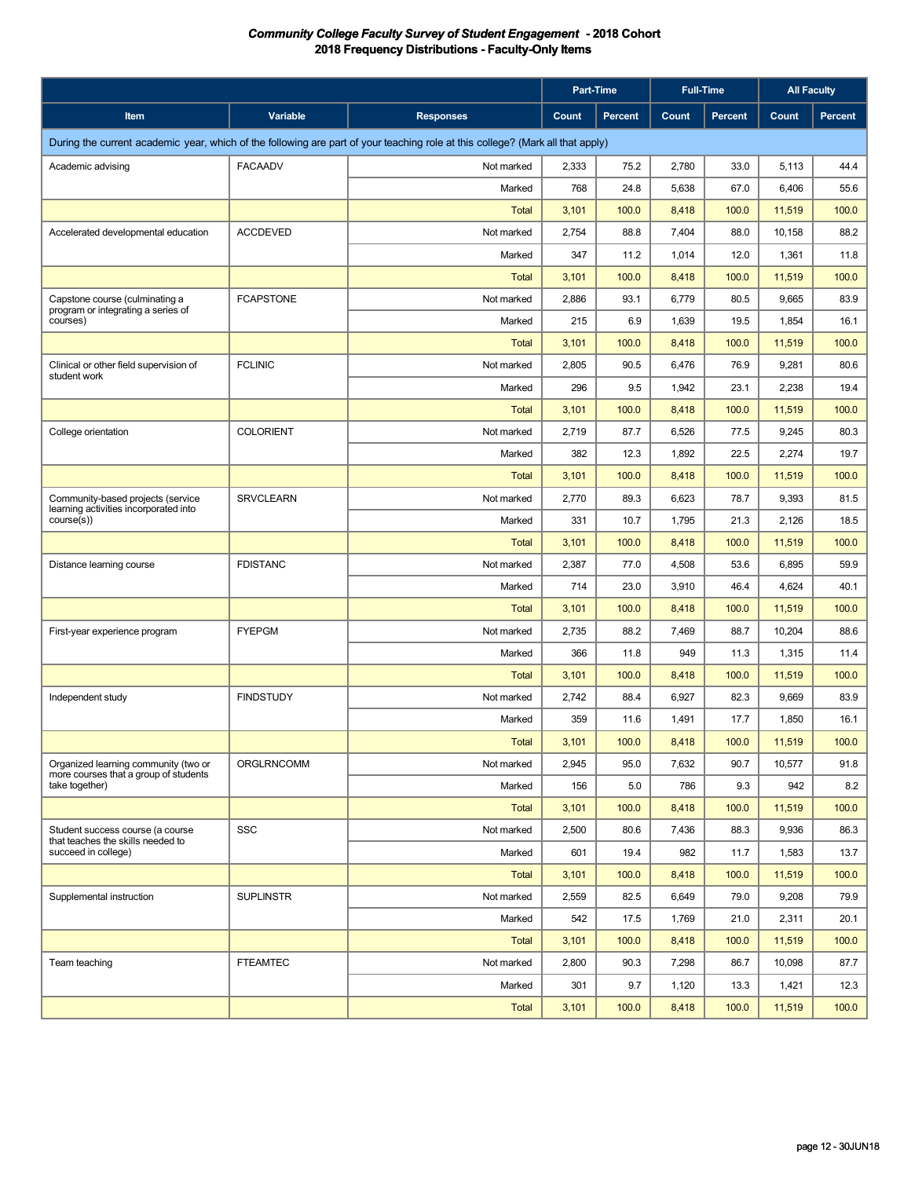|                                                                               |                   |                                                                                                                                | Part-Time |                |       | <b>Full-Time</b> | <b>All Faculty</b> |         |
|-------------------------------------------------------------------------------|-------------------|--------------------------------------------------------------------------------------------------------------------------------|-----------|----------------|-------|------------------|--------------------|---------|
| Item                                                                          | Variable          | <b>Responses</b>                                                                                                               | Count     | <b>Percent</b> | Count | Percent          | Count              | Percent |
|                                                                               |                   | During the current academic year, which of the following are part of your teaching role at this college? (Mark all that apply) |           |                |       |                  |                    |         |
| Academic advising                                                             | <b>FACAADV</b>    | Not marked                                                                                                                     | 2,333     | 75.2           | 2,780 | 33.0             | 5,113              | 44.4    |
|                                                                               |                   | Marked                                                                                                                         | 768       | 24.8           | 5,638 | 67.0             | 6,406              | 55.6    |
|                                                                               |                   | <b>Total</b>                                                                                                                   | 3,101     | 100.0          | 8,418 | 100.0            | 11,519             | 100.0   |
| Accelerated developmental education                                           | <b>ACCDEVED</b>   | Not marked                                                                                                                     | 2,754     | 88.8           | 7,404 | 88.0             | 10,158             | 88.2    |
|                                                                               |                   | Marked                                                                                                                         | 347       | 11.2           | 1,014 | 12.0             | 1,361              | 11.8    |
|                                                                               |                   | <b>Total</b>                                                                                                                   | 3,101     | 100.0          | 8,418 | 100.0            | 11,519             | 100.0   |
| Capstone course (culminating a                                                | <b>FCAPSTONE</b>  | Not marked                                                                                                                     | 2,886     | 93.1           | 6,779 | 80.5             | 9,665              | 83.9    |
| program or integrating a series of<br>courses)                                |                   | Marked                                                                                                                         | 215       | 6.9            | 1,639 | 19.5             | 1,854              | 16.1    |
|                                                                               |                   | Total                                                                                                                          | 3,101     | 100.0          | 8,418 | 100.0            | 11,519             | 100.0   |
| Clinical or other field supervision of                                        | <b>FCLINIC</b>    | Not marked                                                                                                                     | 2,805     | 90.5           | 6,476 | 76.9             | 9,281              | 80.6    |
| student work                                                                  |                   | Marked                                                                                                                         | 296       | 9.5            | 1,942 | 23.1             | 2,238              | 19.4    |
|                                                                               |                   | <b>Total</b>                                                                                                                   | 3,101     | 100.0          | 8,418 | 100.0            | 11,519             | 100.0   |
| College orientation                                                           | <b>COLORIENT</b>  | Not marked                                                                                                                     | 2,719     | 87.7           | 6,526 | 77.5             | 9,245              | 80.3    |
|                                                                               |                   | Marked                                                                                                                         | 382       | 12.3           | 1,892 | 22.5             | 2,274              | 19.7    |
|                                                                               |                   | Total                                                                                                                          | 3,101     | 100.0          | 8,418 | 100.0            | 11,519             | 100.0   |
| Community-based projects (service                                             | <b>SRVCLEARN</b>  | Not marked                                                                                                                     | 2,770     | 89.3           | 6,623 | 78.7             | 9,393              | 81.5    |
| learning activities incorporated into<br>course(s)                            |                   | Marked                                                                                                                         | 331       | 10.7           | 1,795 | 21.3             | 2,126              | 18.5    |
|                                                                               |                   | <b>Total</b>                                                                                                                   | 3,101     | 100.0          | 8,418 | 100.0            | 11,519             | 100.0   |
| Distance learning course                                                      | <b>FDISTANC</b>   | Not marked                                                                                                                     | 2,387     | 77.0           | 4,508 | 53.6             | 6,895              | 59.9    |
|                                                                               |                   | Marked                                                                                                                         | 714       | 23.0           | 3,910 | 46.4             | 4,624              | 40.1    |
|                                                                               |                   | <b>Total</b>                                                                                                                   | 3,101     | 100.0          | 8,418 | 100.0            | 11,519             | 100.0   |
| First-year experience program                                                 | <b>FYEPGM</b>     | Not marked                                                                                                                     | 2,735     | 88.2           | 7,469 | 88.7             | 10,204             | 88.6    |
|                                                                               |                   | Marked                                                                                                                         | 366       | 11.8           | 949   | 11.3             | 1,315              | 11.4    |
|                                                                               |                   | <b>Total</b>                                                                                                                   | 3,101     | 100.0          | 8,418 | 100.0            | 11,519             | 100.0   |
| Independent study                                                             | <b>FINDSTUDY</b>  | Not marked                                                                                                                     | 2,742     | 88.4           | 6,927 | 82.3             | 9,669              | 83.9    |
|                                                                               |                   | Marked                                                                                                                         | 359       | 11.6           | 1,491 | 17.7             | 1,850              | 16.1    |
|                                                                               |                   | <b>Total</b>                                                                                                                   | 3,101     | 100.0          | 8,418 | 100.0            | 11,519             | 100.0   |
| Organized learning community (two or<br>more courses that a group of students | <b>ORGLRNCOMM</b> | Not marked                                                                                                                     | 2,945     | 95.0           | 7,632 | 90.7             | 10,577             | 91.8    |
| take together)                                                                |                   | Marked                                                                                                                         | 156       | 5.0            | 786   | 9.3              | 942                | 8.2     |
|                                                                               |                   | <b>Total</b>                                                                                                                   | 3,101     | 100.0          | 8,418 | 100.0            | 11,519             | 100.0   |
| Student success course (a course<br>that teaches the skills needed to         | <b>SSC</b>        | Not marked                                                                                                                     | 2,500     | 80.6           | 7,436 | 88.3             | 9,936              | 86.3    |
| succeed in college)                                                           |                   | Marked                                                                                                                         | 601       | 19.4           | 982   | 11.7             | 1,583              | 13.7    |
|                                                                               |                   | <b>Total</b>                                                                                                                   | 3,101     | 100.0          | 8,418 | 100.0            | 11,519             | 100.0   |
| Supplemental instruction                                                      | <b>SUPLINSTR</b>  | Not marked                                                                                                                     | 2,559     | 82.5           | 6,649 | 79.0             | 9,208              | 79.9    |
|                                                                               |                   | Marked                                                                                                                         | 542       | 17.5           | 1,769 | 21.0             | 2,311              | 20.1    |
|                                                                               |                   | <b>Total</b>                                                                                                                   | 3,101     | 100.0          | 8,418 | 100.0            | 11,519             | 100.0   |
| Team teaching                                                                 | <b>FTEAMTEC</b>   | Not marked                                                                                                                     | 2,800     | 90.3           | 7,298 | 86.7             | 10,098             | 87.7    |
|                                                                               |                   | Marked                                                                                                                         | 301       | 9.7            | 1,120 | 13.3             | 1,421              | 12.3    |
|                                                                               |                   | <b>Total</b>                                                                                                                   | 3,101     | 100.0          | 8,418 | 100.0            | 11,519             | 100.0   |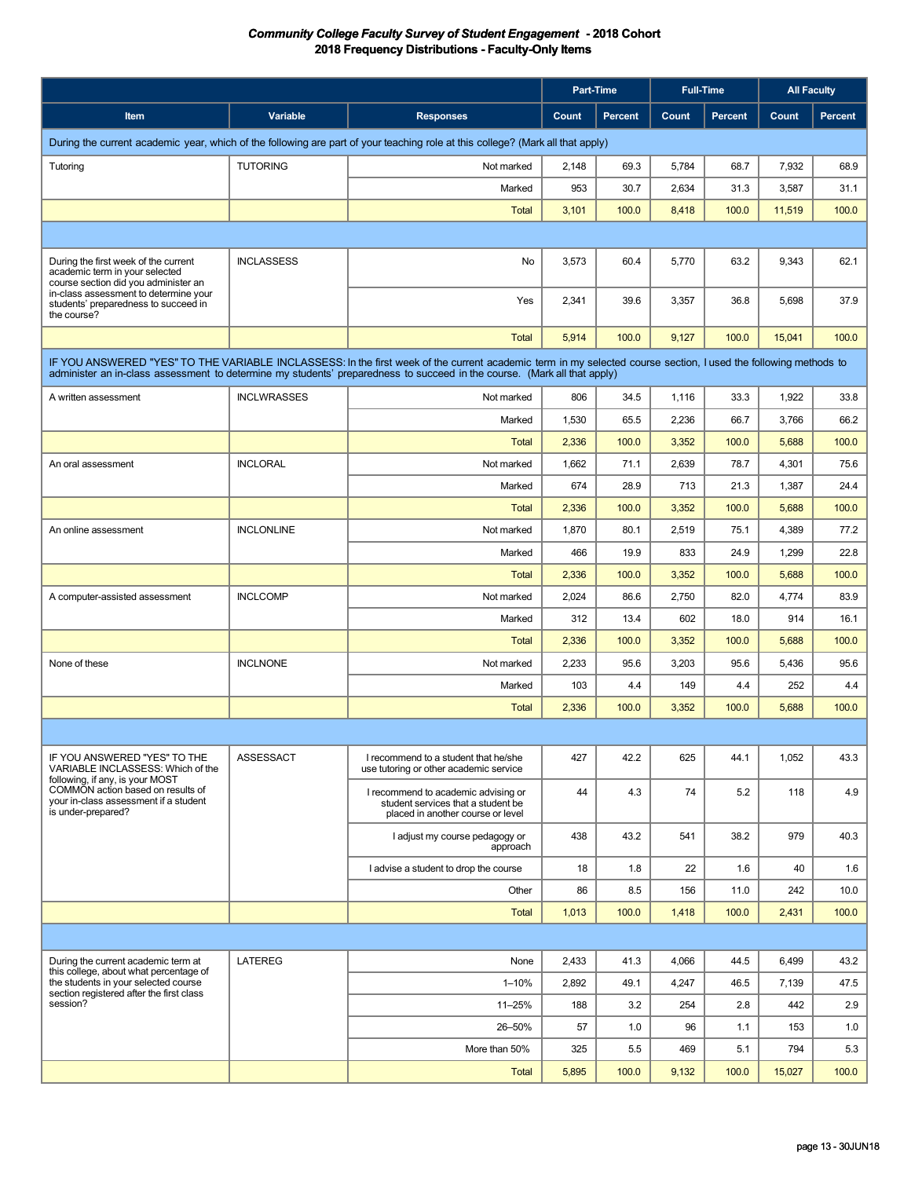|                                                                                                                                |                    |                                                                                                                                                                                                                                                                                             | <b>Part-Time</b> |         | <b>Full-Time</b> |         |        | <b>All Faculty</b> |  |
|--------------------------------------------------------------------------------------------------------------------------------|--------------------|---------------------------------------------------------------------------------------------------------------------------------------------------------------------------------------------------------------------------------------------------------------------------------------------|------------------|---------|------------------|---------|--------|--------------------|--|
| Item                                                                                                                           | Variable           | <b>Responses</b>                                                                                                                                                                                                                                                                            | Count            | Percent | Count            | Percent | Count  | Percent            |  |
| During the current academic year, which of the following are part of your teaching role at this college? (Mark all that apply) |                    |                                                                                                                                                                                                                                                                                             |                  |         |                  |         |        |                    |  |
| Tutoring                                                                                                                       | <b>TUTORING</b>    | Not marked                                                                                                                                                                                                                                                                                  | 2,148            | 69.3    | 5,784            | 68.7    | 7,932  | 68.9               |  |
|                                                                                                                                |                    | Marked                                                                                                                                                                                                                                                                                      | 953              | 30.7    | 2,634            | 31.3    | 3,587  | 31.1               |  |
|                                                                                                                                |                    | <b>Total</b>                                                                                                                                                                                                                                                                                | 3,101            | 100.0   | 8,418            | 100.0   | 11,519 | 100.0              |  |
|                                                                                                                                |                    |                                                                                                                                                                                                                                                                                             |                  |         |                  |         |        |                    |  |
| During the first week of the current<br>academic term in your selected<br>course section did you administer an                 | <b>INCLASSESS</b>  | No                                                                                                                                                                                                                                                                                          | 3,573            | 60.4    | 5,770            | 63.2    | 9,343  | 62.1               |  |
| in-class assessment to determine your<br>students' preparedness to succeed in<br>the course?                                   |                    | Yes                                                                                                                                                                                                                                                                                         | 2,341            | 39.6    | 3,357            | 36.8    | 5,698  | 37.9               |  |
|                                                                                                                                |                    | <b>Total</b>                                                                                                                                                                                                                                                                                | 5,914            | 100.0   | 9,127            | 100.0   | 15,041 | 100.0              |  |
|                                                                                                                                |                    | IF YOU ANSWERED "YES" TO THE VARIABLE INCLASSESS: In the first week of the current academic term in my selected course section, I used the following methods to<br>administer an in-class assessment to determine my students' preparedness to succeed in the course. (Mark all that apply) |                  |         |                  |         |        |                    |  |
| A written assessment                                                                                                           | <b>INCLWRASSES</b> | Not marked                                                                                                                                                                                                                                                                                  | 806              | 34.5    | 1,116            | 33.3    | 1,922  | 33.8               |  |
|                                                                                                                                |                    | Marked                                                                                                                                                                                                                                                                                      | 1,530            | 65.5    | 2,236            | 66.7    | 3,766  | 66.2               |  |
|                                                                                                                                |                    | <b>Total</b>                                                                                                                                                                                                                                                                                | 2,336            | 100.0   | 3,352            | 100.0   | 5,688  | 100.0              |  |
| An oral assessment                                                                                                             | <b>INCLORAL</b>    | Not marked                                                                                                                                                                                                                                                                                  | 1,662            | 71.1    | 2,639            | 78.7    | 4,301  | 75.6               |  |
|                                                                                                                                |                    | Marked                                                                                                                                                                                                                                                                                      | 674              | 28.9    | 713              | 21.3    | 1,387  | 24.4               |  |
|                                                                                                                                |                    | <b>Total</b>                                                                                                                                                                                                                                                                                | 2,336            | 100.0   | 3,352            | 100.0   | 5,688  | 100.0              |  |
| An online assessment                                                                                                           | <b>INCLONLINE</b>  | Not marked                                                                                                                                                                                                                                                                                  | 1,870            | 80.1    | 2,519            | 75.1    | 4,389  | 77.2               |  |
|                                                                                                                                |                    | Marked                                                                                                                                                                                                                                                                                      | 466              | 19.9    | 833              | 24.9    | 1,299  | 22.8               |  |
|                                                                                                                                |                    | Total                                                                                                                                                                                                                                                                                       | 2,336            | 100.0   | 3,352            | 100.0   | 5,688  | 100.0              |  |
| A computer-assisted assessment                                                                                                 | <b>INCLCOMP</b>    | Not marked                                                                                                                                                                                                                                                                                  | 2,024            | 86.6    | 2,750            | 82.0    | 4,774  | 83.9               |  |
|                                                                                                                                |                    | Marked                                                                                                                                                                                                                                                                                      | 312              | 13.4    | 602              | 18.0    | 914    | 16.1               |  |
|                                                                                                                                |                    | <b>Total</b>                                                                                                                                                                                                                                                                                | 2,336            | 100.0   | 3,352            | 100.0   | 5,688  | 100.0              |  |
| None of these                                                                                                                  | <b>INCLNONE</b>    | Not marked                                                                                                                                                                                                                                                                                  | 2,233            | 95.6    | 3,203            | 95.6    | 5,436  | 95.6               |  |
|                                                                                                                                |                    | Marked                                                                                                                                                                                                                                                                                      | 103              | 4.4     | 149              | 4.4     | 252    | 4.4                |  |
|                                                                                                                                |                    | <b>Total</b>                                                                                                                                                                                                                                                                                | 2,336            | 100.0   | 3,352            | 100.0   | 5,688  | 100.0              |  |
|                                                                                                                                |                    |                                                                                                                                                                                                                                                                                             |                  |         |                  |         |        |                    |  |
| IF YOU ANSWERED "YES" TO THE<br>VARIABLE INCLASSESS: Which of the<br>following, if any, is your MOST                           | ASSESSACT          | I recommend to a student that he/she<br>use tutoring or other academic service                                                                                                                                                                                                              | 427              | 42.2    | 625              | 44.1    | 1,052  | 43.3               |  |
| COMMON action based on results of<br>your in-class assessment if a student<br>is under-prepared?                               |                    | I recommend to academic advising or<br>student services that a student be<br>placed in another course or level                                                                                                                                                                              | 44               | 4.3     | 74               | 5.2     | 118    | 4.9                |  |
|                                                                                                                                |                    | I adjust my course pedagogy or<br>approach                                                                                                                                                                                                                                                  | 438              | 43.2    | 541              | 38.2    | 979    | 40.3               |  |
|                                                                                                                                |                    | I advise a student to drop the course                                                                                                                                                                                                                                                       | 18               | 1.8     | 22               | 1.6     | 40     | 1.6                |  |
|                                                                                                                                |                    | Other                                                                                                                                                                                                                                                                                       | 86               | 8.5     | 156              | 11.0    | 242    | 10.0               |  |
|                                                                                                                                |                    | Total                                                                                                                                                                                                                                                                                       | 1,013            | 100.0   | 1,418            | 100.0   | 2,431  | 100.0              |  |
|                                                                                                                                |                    |                                                                                                                                                                                                                                                                                             |                  |         |                  |         |        |                    |  |
| During the current academic term at<br>this college, about what percentage of                                                  | LATEREG            | None                                                                                                                                                                                                                                                                                        | 2,433            | 41.3    | 4,066            | 44.5    | 6,499  | 43.2               |  |
| the students in your selected course<br>section registered after the first class                                               |                    | $1 - 10%$                                                                                                                                                                                                                                                                                   | 2,892            | 49.1    | 4,247            | 46.5    | 7,139  | 47.5               |  |
| session?                                                                                                                       |                    | 11-25%                                                                                                                                                                                                                                                                                      | 188              | 3.2     | 254              | 2.8     | 442    | 2.9                |  |
|                                                                                                                                |                    | 26-50%                                                                                                                                                                                                                                                                                      | 57               | 1.0     | 96               | 1.1     | 153    | 1.0                |  |
|                                                                                                                                |                    | More than 50%                                                                                                                                                                                                                                                                               | 325              | 5.5     | 469              | 5.1     | 794    | 5.3                |  |
|                                                                                                                                |                    | Total                                                                                                                                                                                                                                                                                       | 5,895            | 100.0   | 9,132            | 100.0   | 15,027 | 100.0              |  |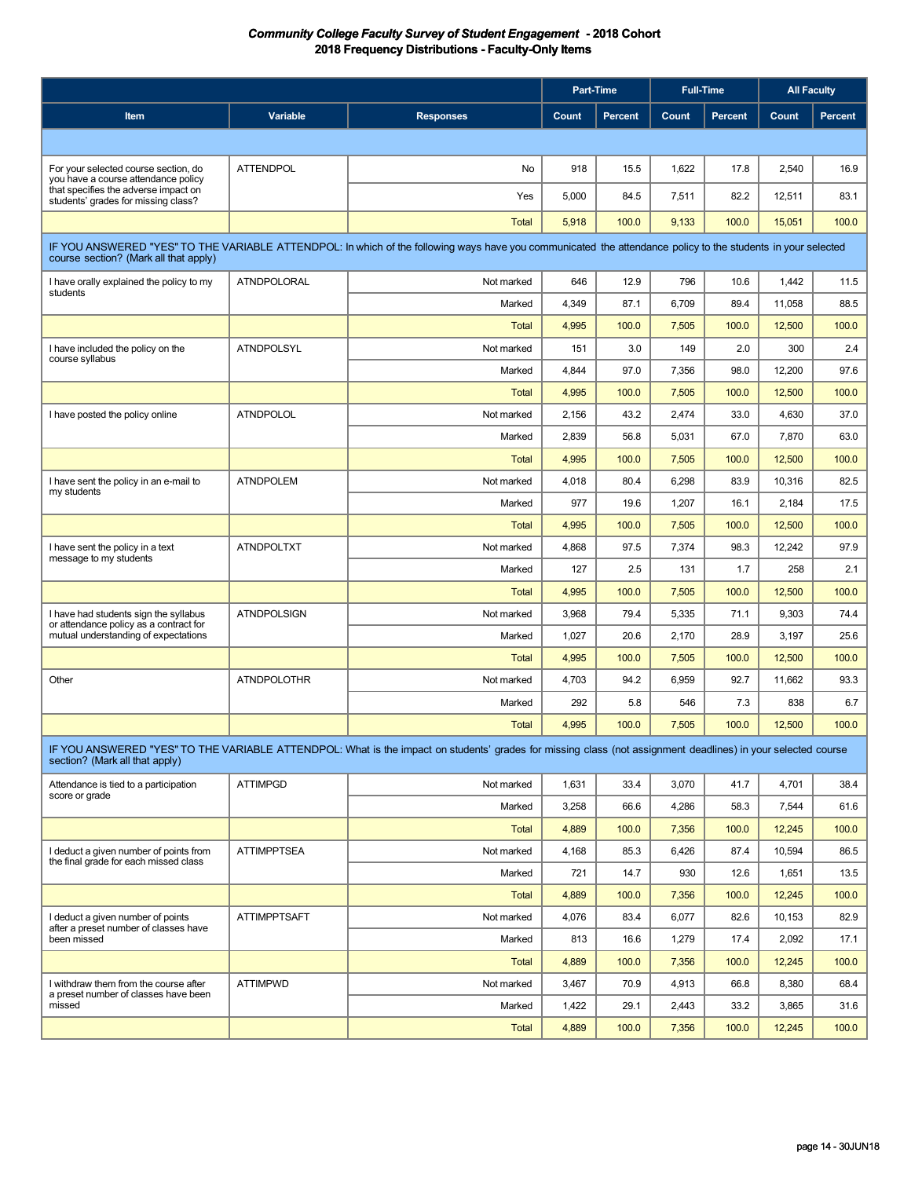|                                                                                                                                                                                                       |                     |                                                                                                                                                              | Part-Time |                | <b>Full-Time</b> |         | <b>All Faculty</b> |         |
|-------------------------------------------------------------------------------------------------------------------------------------------------------------------------------------------------------|---------------------|--------------------------------------------------------------------------------------------------------------------------------------------------------------|-----------|----------------|------------------|---------|--------------------|---------|
| <b>Item</b>                                                                                                                                                                                           | Variable            | <b>Responses</b>                                                                                                                                             | Count     | <b>Percent</b> | Count            | Percent | Count              | Percent |
|                                                                                                                                                                                                       |                     |                                                                                                                                                              |           |                |                  |         |                    |         |
| For your selected course section, do                                                                                                                                                                  | <b>ATTENDPOL</b>    | No                                                                                                                                                           | 918       | 15.5           | 1,622            | 17.8    | 2,540              | 16.9    |
| you have a course attendance policy<br>that specifies the adverse impact on<br>students' grades for missing class?                                                                                    |                     | Yes                                                                                                                                                          | 5,000     | 84.5           | 7,511            | 82.2    | 12,511             | 83.1    |
|                                                                                                                                                                                                       |                     | <b>Total</b>                                                                                                                                                 | 5,918     | 100.0          | 9,133            | 100.0   | 15,051             | 100.0   |
|                                                                                                                                                                                                       |                     |                                                                                                                                                              |           |                |                  |         |                    |         |
| IF YOU ANSWERED "YES" TO THE VARIABLE ATTENDPOL: In which of the following ways have you communicated the attendance policy to the students in your selected<br>course section? (Mark all that apply) |                     |                                                                                                                                                              |           |                |                  |         |                    |         |
| I have orally explained the policy to my<br>students                                                                                                                                                  | <b>ATNDPOLORAL</b>  | Not marked                                                                                                                                                   | 646       | 12.9           | 796              | 10.6    | 1,442              | 11.5    |
|                                                                                                                                                                                                       |                     | Marked                                                                                                                                                       | 4,349     | 87.1           | 6,709            | 89.4    | 11,058             | 88.5    |
|                                                                                                                                                                                                       |                     | Total                                                                                                                                                        | 4,995     | 100.0          | 7,505            | 100.0   | 12,500             | 100.0   |
| I have included the policy on the<br>course syllabus                                                                                                                                                  | <b>ATNDPOLSYL</b>   | Not marked                                                                                                                                                   | 151       | 3.0            | 149              | 2.0     | 300                | 2.4     |
|                                                                                                                                                                                                       |                     | Marked                                                                                                                                                       | 4,844     | 97.0           | 7,356            | 98.0    | 12,200             | 97.6    |
|                                                                                                                                                                                                       |                     | Total                                                                                                                                                        | 4,995     | 100.0          | 7,505            | 100.0   | 12,500             | 100.0   |
| I have posted the policy online                                                                                                                                                                       | <b>ATNDPOLOL</b>    | Not marked                                                                                                                                                   | 2,156     | 43.2           | 2,474            | 33.0    | 4,630              | 37.0    |
|                                                                                                                                                                                                       |                     | Marked                                                                                                                                                       | 2,839     | 56.8           | 5,031            | 67.0    | 7,870              | 63.0    |
|                                                                                                                                                                                                       |                     | <b>Total</b>                                                                                                                                                 | 4,995     | 100.0          | 7,505            | 100.0   | 12,500             | 100.0   |
| I have sent the policy in an e-mail to<br>my students                                                                                                                                                 | <b>ATNDPOLEM</b>    | Not marked                                                                                                                                                   | 4,018     | 80.4           | 6,298            | 83.9    | 10,316             | 82.5    |
|                                                                                                                                                                                                       |                     | Marked                                                                                                                                                       | 977       | 19.6           | 1,207            | 16.1    | 2,184              | 17.5    |
|                                                                                                                                                                                                       |                     | <b>Total</b>                                                                                                                                                 | 4,995     | 100.0          | 7,505            | 100.0   | 12,500             | 100.0   |
| I have sent the policy in a text<br>message to my students                                                                                                                                            | <b>ATNDPOLTXT</b>   | Not marked                                                                                                                                                   | 4,868     | 97.5           | 7,374            | 98.3    | 12,242             | 97.9    |
|                                                                                                                                                                                                       |                     | Marked                                                                                                                                                       | 127       | 2.5            | 131              | 1.7     | 258                | 2.1     |
|                                                                                                                                                                                                       |                     | <b>Total</b>                                                                                                                                                 | 4,995     | 100.0          | 7,505            | 100.0   | 12,500             | 100.0   |
| I have had students sign the syllabus<br>or attendance policy as a contract for                                                                                                                       | <b>ATNDPOLSIGN</b>  | Not marked                                                                                                                                                   | 3,968     | 79.4           | 5,335            | 71.1    | 9,303              | 74.4    |
| mutual understanding of expectations                                                                                                                                                                  |                     | Marked                                                                                                                                                       | 1,027     | 20.6           | 2,170            | 28.9    | 3,197              | 25.6    |
|                                                                                                                                                                                                       |                     | <b>Total</b>                                                                                                                                                 | 4,995     | 100.0          | 7,505            | 100.0   | 12,500             | 100.0   |
| Other                                                                                                                                                                                                 | <b>ATNDPOLOTHR</b>  | Not marked                                                                                                                                                   | 4,703     | 94.2           | 6,959            | 92.7    | 11,662             | 93.3    |
|                                                                                                                                                                                                       |                     | Marked                                                                                                                                                       | 292       | 5.8            | 546              | 7.3     | 838                | 6.7     |
|                                                                                                                                                                                                       |                     | Total                                                                                                                                                        | 4,995     | 100.0          | 7,505            | 100.0   | 12,500             | 100.0   |
| section? (Mark all that apply)                                                                                                                                                                        |                     | IF YOU ANSWERED "YES" TO THE VARIABLE ATTENDPOL: What is the impact on students' grades for missing class (not assignment deadlines) in your selected course |           |                |                  |         |                    |         |
| Attendance is tied to a participation                                                                                                                                                                 | <b>ATTIMPGD</b>     | Not marked                                                                                                                                                   | 1,631     | 33.4           | 3,070            | 41.7    | 4,701              | 38.4    |
| score or grade                                                                                                                                                                                        |                     | Marked                                                                                                                                                       | 3,258     | 66.6           | 4,286            | 58.3    | 7,544              | 61.6    |
|                                                                                                                                                                                                       |                     | <b>Total</b>                                                                                                                                                 | 4,889     | 100.0          | 7,356            | 100.0   | 12,245             | 100.0   |
| I deduct a given number of points from                                                                                                                                                                | <b>ATTIMPPTSEA</b>  | Not marked                                                                                                                                                   | 4,168     | 85.3           | 6,426            | 87.4    | 10,594             | 86.5    |
| the final grade for each missed class                                                                                                                                                                 |                     | Marked                                                                                                                                                       | 721       | 14.7           | 930              | 12.6    | 1,651              | 13.5    |
|                                                                                                                                                                                                       |                     | Total                                                                                                                                                        | 4,889     | 100.0          | 7,356            | 100.0   | 12,245             | 100.0   |
| I deduct a given number of points                                                                                                                                                                     | <b>ATTIMPPTSAFT</b> | Not marked                                                                                                                                                   | 4,076     | 83.4           | 6,077            | 82.6    | 10,153             | 82.9    |
| after a preset number of classes have<br>been missed                                                                                                                                                  |                     | Marked                                                                                                                                                       | 813       | 16.6           | 1,279            | 17.4    | 2,092              | 17.1    |
|                                                                                                                                                                                                       |                     | <b>Total</b>                                                                                                                                                 | 4,889     | 100.0          | 7,356            | 100.0   | 12,245             | 100.0   |
| I withdraw them from the course after                                                                                                                                                                 | <b>ATTIMPWD</b>     | Not marked                                                                                                                                                   | 3,467     | 70.9           | 4,913            | 66.8    | 8,380              | 68.4    |
| a preset number of classes have been<br>missed                                                                                                                                                        |                     | Marked                                                                                                                                                       | 1,422     | 29.1           | 2,443            | 33.2    | 3,865              | 31.6    |
|                                                                                                                                                                                                       |                     | <b>Total</b>                                                                                                                                                 | 4,889     | 100.0          | 7,356            | 100.0   | 12,245             | 100.0   |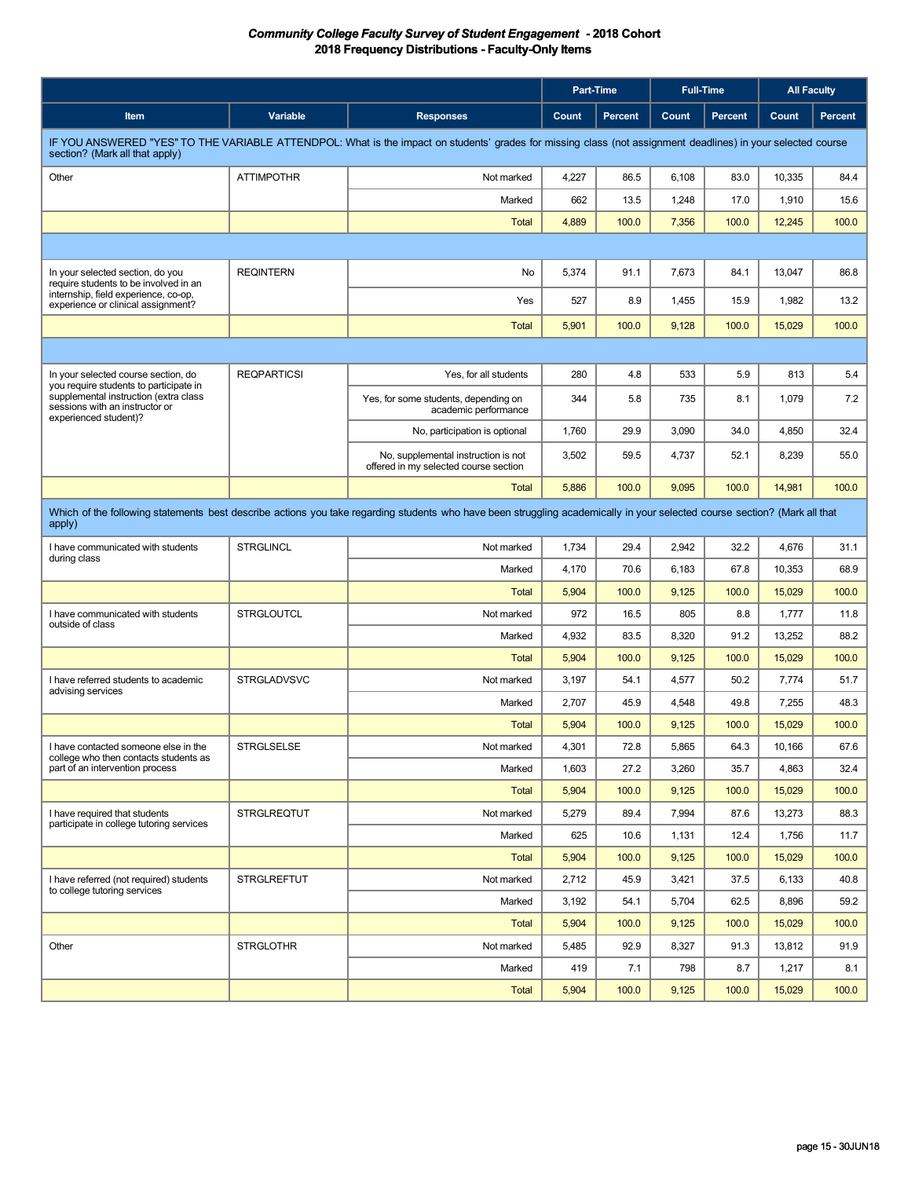|                                                                                                                                                                                                |                    |                                                                              | <b>Part-Time</b> |                | <b>Full-Time</b> |         | <b>All Faculty</b> |                |
|------------------------------------------------------------------------------------------------------------------------------------------------------------------------------------------------|--------------------|------------------------------------------------------------------------------|------------------|----------------|------------------|---------|--------------------|----------------|
| Item                                                                                                                                                                                           | Variable           | <b>Responses</b>                                                             | Count            | <b>Percent</b> | Count            | Percent | Count              | <b>Percent</b> |
| IF YOU ANSWERED "YES" TO THE VARIABLE ATTENDPOL: What is the impact on students' grades for missing class (not assignment deadlines) in your selected course<br>section? (Mark all that apply) |                    |                                                                              |                  |                |                  |         |                    |                |
| Other                                                                                                                                                                                          | <b>ATTIMPOTHR</b>  | Not marked                                                                   | 4,227            | 86.5           | 6,108            | 83.0    | 10,335             | 84.4           |
|                                                                                                                                                                                                |                    | Marked                                                                       | 662              | 13.5           | 1,248            | 17.0    | 1,910              | 15.6           |
|                                                                                                                                                                                                |                    | Total                                                                        | 4,889            | 100.0          | 7,356            | 100.0   | 12,245             | 100.0          |
|                                                                                                                                                                                                |                    |                                                                              |                  |                |                  |         |                    |                |
| In your selected section, do you<br>require students to be involved in an                                                                                                                      | <b>REQINTERN</b>   | No                                                                           | 5,374            | 91.1           | 7,673            | 84.1    | 13,047             | 86.8           |
| internship, field experience, co-op,<br>experience or clinical assignment?                                                                                                                     |                    | Yes                                                                          | 527              | 8.9            | 1,455            | 15.9    | 1,982              | 13.2           |
|                                                                                                                                                                                                |                    | <b>Total</b>                                                                 | 5,901            | 100.0          | 9,128            | 100.0   | 15,029             | 100.0          |
|                                                                                                                                                                                                |                    |                                                                              |                  |                |                  |         |                    |                |
| In your selected course section, do                                                                                                                                                            | <b>REQPARTICSI</b> | Yes, for all students                                                        | 280              | 4.8            | 533              | 5.9     | 813                | 5.4            |
| you require students to participate in<br>supplemental instruction (extra class<br>sessions with an instructor or<br>experienced student)?                                                     |                    | Yes, for some students, depending on<br>academic performance                 | 344              | 5.8            | 735              | 8.1     | 1,079              | 7.2            |
|                                                                                                                                                                                                |                    | No, participation is optional                                                | 1,760            | 29.9           | 3,090            | 34.0    | 4,850              | 32.4           |
|                                                                                                                                                                                                |                    | No, supplemental instruction is not<br>offered in my selected course section | 3,502            | 59.5           | 4,737            | 52.1    | 8,239              | 55.0           |
|                                                                                                                                                                                                |                    | Total                                                                        | 5,886            | 100.0          | 9,095            | 100.0   | 14,981             | 100.0          |
| Which of the following statements best describe actions you take regarding students who have been struggling academically in your selected course section? (Mark all that<br>apply)            |                    |                                                                              |                  |                |                  |         |                    |                |
| I have communicated with students                                                                                                                                                              | <b>STRGLINCL</b>   | Not marked                                                                   | 1,734            | 29.4           | 2,942            | 32.2    | 4,676              | 31.1           |
| during class                                                                                                                                                                                   |                    | Marked                                                                       | 4,170            | 70.6           | 6,183            | 67.8    | 10,353             | 68.9           |
|                                                                                                                                                                                                |                    | Total                                                                        | 5,904            | 100.0          | 9,125            | 100.0   | 15,029             | 100.0          |
| I have communicated with students<br>outside of class                                                                                                                                          | <b>STRGLOUTCL</b>  | Not marked                                                                   | 972              | 16.5           | 805              | 8.8     | 1,777              | 11.8           |
|                                                                                                                                                                                                |                    | Marked                                                                       | 4,932            | 83.5           | 8,320            | 91.2    | 13,252             | 88.2           |
|                                                                                                                                                                                                |                    | Total                                                                        | 5,904            | 100.0          | 9,125            | 100.0   | 15,029             | 100.0          |
| I have referred students to academic<br>advising services                                                                                                                                      | <b>STRGLADVSVC</b> | Not marked                                                                   | 3,197            | 54.1           | 4,577            | 50.2    | 7,774              | 51.7           |
|                                                                                                                                                                                                |                    | Marked                                                                       | 2,707            | 45.9           | 4,548            | 49.8    | 7,255              | 48.3           |
|                                                                                                                                                                                                |                    | <b>Total</b>                                                                 | 5,904            | 100.0          | 9,125            | 100.0   | 15,029             | 100.0          |
| I have contacted someone else in the<br>college who then contacts students as                                                                                                                  | <b>STRGLSELSE</b>  | Not marked                                                                   | 4,301            | 72.8           | 5,865            | 64.3    | 10,166             | 67.6           |
| part of an intervention process                                                                                                                                                                |                    | Marked                                                                       | 1,603            | 27.2           | 3,260            | 35.7    | 4,863              | 32.4           |
|                                                                                                                                                                                                |                    | <b>Total</b>                                                                 | 5,904            | 100.0          | 9,125            | 100.0   | 15,029             | 100.0          |
| I have required that students<br>participate in college tutoring services                                                                                                                      | <b>STRGLREQTUT</b> | Not marked                                                                   | 5,279            | 89.4           | 7,994            | 87.6    | 13,273             | 88.3           |
|                                                                                                                                                                                                |                    | Marked                                                                       | 625              | 10.6           | 1,131            | 12.4    | 1,756              | 11.7           |
|                                                                                                                                                                                                |                    | <b>Total</b>                                                                 | 5,904            | 100.0          | 9,125            | 100.0   | 15,029             | 100.0          |
| I have referred (not required) students<br>to college tutoring services                                                                                                                        | <b>STRGLREFTUT</b> | Not marked                                                                   | 2,712            | 45.9           | 3,421            | 37.5    | 6,133              | 40.8           |
|                                                                                                                                                                                                |                    | Marked                                                                       | 3,192            | 54.1           | 5,704            | 62.5    | 8,896              | 59.2           |
|                                                                                                                                                                                                |                    | <b>Total</b>                                                                 | 5,904            | 100.0          | 9,125            | 100.0   | 15,029             | 100.0          |
| Other                                                                                                                                                                                          | <b>STRGLOTHR</b>   | Not marked                                                                   | 5,485            | 92.9           | 8,327            | 91.3    | 13,812             | 91.9           |
|                                                                                                                                                                                                |                    | Marked                                                                       | 419              | 7.1            | 798              | 8.7     | 1,217              | 8.1            |
|                                                                                                                                                                                                |                    | <b>Total</b>                                                                 | 5,904            | 100.0          | 9,125            | 100.0   | 15,029             | 100.0          |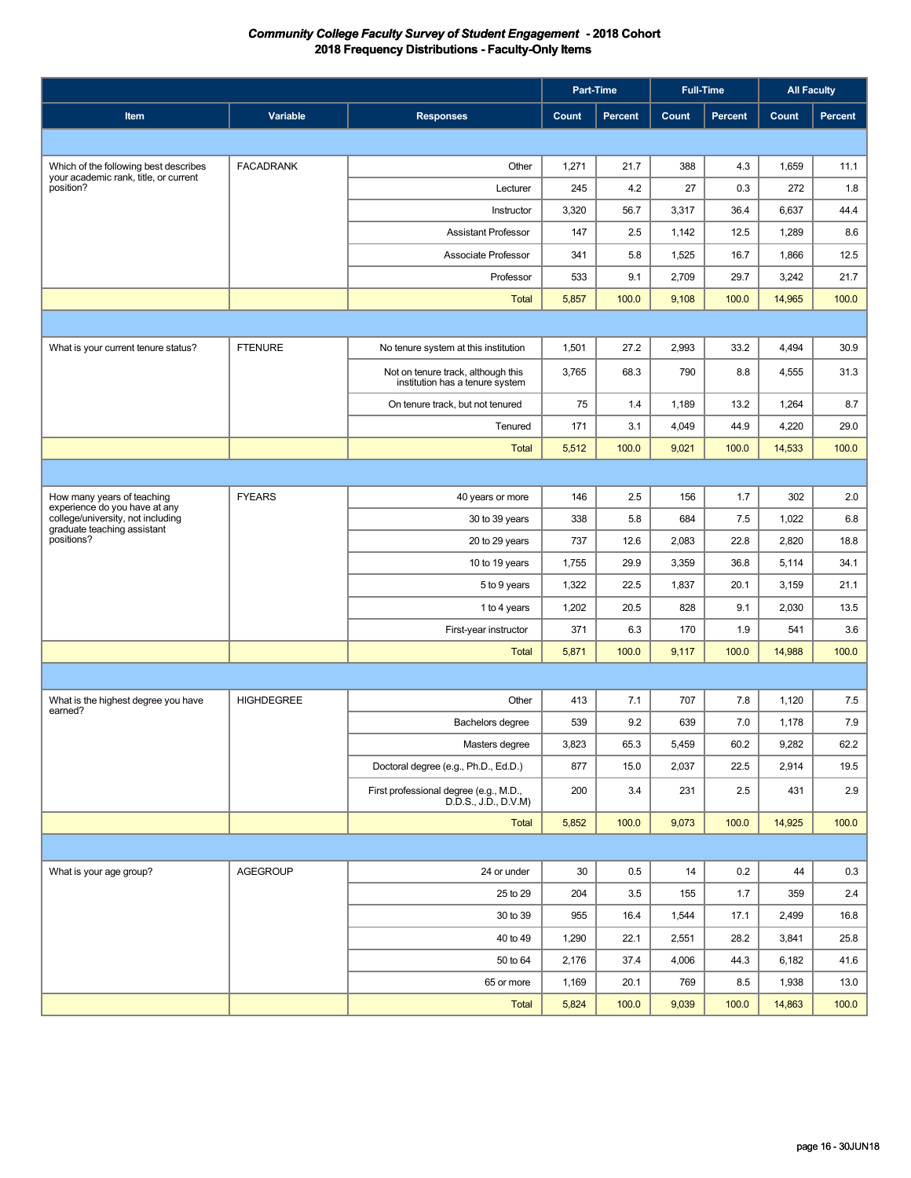|                                                                    |                   |                                                                       | Part-Time |         | <b>Full-Time</b> |         | <b>All Faculty</b> |                |
|--------------------------------------------------------------------|-------------------|-----------------------------------------------------------------------|-----------|---------|------------------|---------|--------------------|----------------|
| Item                                                               | Variable          | <b>Responses</b>                                                      | Count     | Percent | Count            | Percent | <b>Count</b>       | <b>Percent</b> |
|                                                                    |                   |                                                                       |           |         |                  |         |                    |                |
| Which of the following best describes                              | <b>FACADRANK</b>  | Other                                                                 | 1,271     | 21.7    | 388              | 4.3     | 1,659              | 11.1           |
| your academic rank, title, or current<br>position?                 |                   | Lecturer                                                              | 245       | 4.2     | 27               | 0.3     | 272                | 1.8            |
|                                                                    |                   | Instructor                                                            | 3,320     | 56.7    | 3,317            | 36.4    | 6,637              | 44.4           |
|                                                                    |                   | <b>Assistant Professor</b>                                            | 147       | 2.5     | 1,142            | 12.5    | 1,289              | 8.6            |
|                                                                    |                   | Associate Professor                                                   | 341       | 5.8     | 1,525            | 16.7    | 1,866              | 12.5           |
|                                                                    |                   | Professor                                                             | 533       | 9.1     | 2,709            | 29.7    | 3,242              | 21.7           |
|                                                                    |                   | <b>Total</b>                                                          | 5,857     | 100.0   | 9,108            | 100.0   | 14,965             | 100.0          |
|                                                                    |                   |                                                                       |           |         |                  |         |                    |                |
| What is your current tenure status?                                | <b>FTENURE</b>    | No tenure system at this institution                                  | 1,501     | 27.2    | 2,993            | 33.2    | 4,494              | 30.9           |
|                                                                    |                   | Not on tenure track, although this<br>institution has a tenure system | 3,765     | 68.3    | 790              | 8.8     | 4,555              | 31.3           |
|                                                                    |                   | On tenure track, but not tenured                                      | 75        | 1.4     | 1,189            | 13.2    | 1,264              | 8.7            |
|                                                                    |                   | Tenured                                                               | 171       | 3.1     | 4,049            | 44.9    | 4,220              | 29.0           |
|                                                                    |                   | <b>Total</b>                                                          | 5,512     | 100.0   | 9,021            | 100.0   | 14,533             | 100.0          |
|                                                                    |                   |                                                                       |           |         |                  |         |                    |                |
| How many years of teaching                                         | <b>FYEARS</b>     | 40 years or more                                                      | 146       | 2.5     | 156              | 1.7     | 302                | 2.0            |
| experience do you have at any<br>college/university, not including |                   | 30 to 39 years                                                        | 338       | 5.8     | 684              | 7.5     | 1,022              | 6.8            |
| graduate teaching assistant<br>positions?                          |                   | 20 to 29 years                                                        | 737       | 12.6    | 2,083            | 22.8    | 2,820              | 18.8           |
|                                                                    |                   | 10 to 19 years                                                        | 1,755     | 29.9    | 3,359            | 36.8    | 5,114              | 34.1           |
|                                                                    |                   | 5 to 9 years                                                          | 1,322     | 22.5    | 1,837            | 20.1    | 3,159              | 21.1           |
|                                                                    |                   | 1 to 4 years                                                          | 1,202     | 20.5    | 828              | 9.1     | 2,030              | 13.5           |
|                                                                    |                   | First-year instructor                                                 | 371       | 6.3     | 170              | 1.9     | 541                | 3.6            |
|                                                                    |                   | <b>Total</b>                                                          | 5,871     | 100.0   | 9,117            | 100.0   | 14,988             | 100.0          |
|                                                                    |                   |                                                                       |           |         |                  |         |                    |                |
| What is the highest degree you have<br>earned?                     | <b>HIGHDEGREE</b> | Other                                                                 | 413       | 7.1     | 707              | 7.8     | 1,120              | 7.5            |
|                                                                    |                   | Bachelors degree                                                      | 539       | 9.2     | 639              | 7.0     | 1,178              | 7.9            |
|                                                                    |                   | Masters degree                                                        | 3,823     | 65.3    | 5,459            | 60.2    | 9,282              | 62.2           |
|                                                                    |                   | Doctoral degree (e.g., Ph.D., Ed.D.)                                  | 877       | 15.0    | 2,037            | 22.5    | 2,914              | 19.5           |
|                                                                    |                   | First professional degree (e.g., M.D.,<br>D.D.S., J.D., D.V.M)        | 200       | 3.4     | 231              | 2.5     | 431                | 2.9            |
|                                                                    |                   | Total                                                                 | 5,852     | 100.0   | 9,073            | 100.0   | 14,925             | 100.0          |
|                                                                    |                   |                                                                       |           |         |                  |         |                    |                |
| What is your age group?                                            | <b>AGEGROUP</b>   | 24 or under                                                           | 30        | 0.5     | 14               | 0.2     | 44                 | 0.3            |
|                                                                    |                   | 25 to 29                                                              | 204       | 3.5     | 155              | 1.7     | 359                | 2.4            |
|                                                                    |                   | 30 to 39                                                              | 955       | 16.4    | 1,544            | 17.1    | 2,499              | 16.8           |
|                                                                    |                   | 40 to 49                                                              | 1,290     | 22.1    | 2,551            | 28.2    | 3,841              | 25.8           |
|                                                                    |                   | 50 to 64                                                              | 2,176     | 37.4    | 4,006            | 44.3    | 6,182              | 41.6           |
|                                                                    |                   | 65 or more                                                            | 1,169     | 20.1    | 769              | 8.5     | 1,938              | 13.0           |
|                                                                    |                   | <b>Total</b>                                                          | 5,824     | 100.0   | 9,039            | 100.0   | 14,863             | 100.0          |